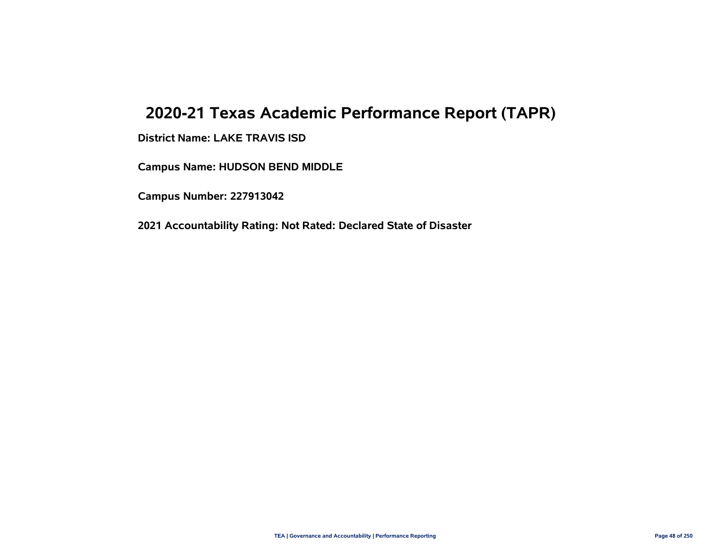# **2020-21 Texas Academic Performance Report (TAPR)**

**District Name: LAKE TRAVIS ISD**

**Campus Name: HUDSON BEND MIDDLE**

**Campus Number: 227913042**

**2021 Accountability Rating: Not Rated: Declared State of Disaster**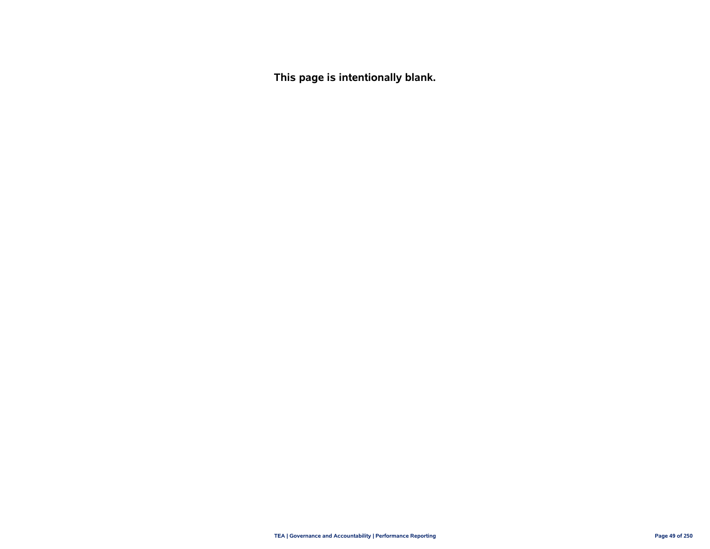**This page is intentionally blank.**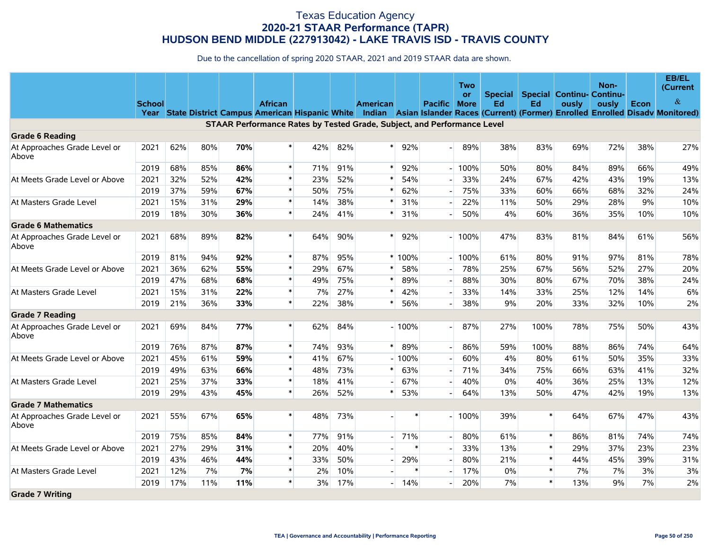|                                       |               |     |     |     |                                                                         |     |     |                          |         |                          | Two         |                |                                  |       | Non-  |      | EB/EL<br>(Current                                                                                                                     |
|---------------------------------------|---------------|-----|-----|-----|-------------------------------------------------------------------------|-----|-----|--------------------------|---------|--------------------------|-------------|----------------|----------------------------------|-------|-------|------|---------------------------------------------------------------------------------------------------------------------------------------|
|                                       |               |     |     |     |                                                                         |     |     |                          |         |                          | or          | <b>Special</b> | <b>Special Continu- Continu-</b> |       |       |      | $\&$                                                                                                                                  |
|                                       | <b>School</b> |     |     |     | <b>African</b>                                                          |     |     | <b>American</b>          |         | Pacific                  | <b>More</b> | Ed             | Ed                               | ously | ously | Econ | Year State District Campus American Hispanic White Indian Asian Islander Races (Current) (Former) Enrolled Enrolled Disady Monitored) |
|                                       |               |     |     |     | STAAR Performance Rates by Tested Grade, Subject, and Performance Level |     |     |                          |         |                          |             |                |                                  |       |       |      |                                                                                                                                       |
| <b>Grade 6 Reading</b>                |               |     |     |     |                                                                         |     |     |                          |         |                          |             |                |                                  |       |       |      |                                                                                                                                       |
| At Approaches Grade Level or<br>Above | 2021          | 62% | 80% | 70% | $\ast$                                                                  | 42% | 82% | $\ast$                   | 92%     |                          | 89%         | 38%            | 83%                              | 69%   | 72%   | 38%  | 27%                                                                                                                                   |
|                                       | 2019          | 68% | 85% | 86% | $\pmb{\ast}$                                                            | 71% | 91% | $\ast$                   | 92%     | - 1                      | 100%        | 50%            | 80%                              | 84%   | 89%   | 66%  | 49%                                                                                                                                   |
| At Meets Grade Level or Above         | 2021          | 32% | 52% | 42% | $\ast$                                                                  | 23% | 52% | $\ast$                   | 54%     | $\overline{a}$           | 33%         | 24%            | 67%                              | 42%   | 43%   | 19%  | 13%                                                                                                                                   |
|                                       | 2019          | 37% | 59% | 67% | $\ast$                                                                  | 50% | 75% | ∗                        | 62%     | $\overline{\phantom{a}}$ | 75%         | 33%            | 60%                              | 66%   | 68%   | 32%  | 24%                                                                                                                                   |
| At Masters Grade Level                | 2021          | 15% | 31% | 29% | $\ast$                                                                  | 14% | 38% | $\ast$                   | 31%     |                          | 22%         | 11%            | 50%                              | 29%   | 28%   | 9%   | 10%                                                                                                                                   |
|                                       | 2019          | 18% | 30% | 36% | $\pmb{\ast}$                                                            | 24% | 41% | $\ast$                   | 31%     |                          | 50%         | 4%             | 60%                              | 36%   | 35%   | 10%  | 10%                                                                                                                                   |
| <b>Grade 6 Mathematics</b>            |               |     |     |     |                                                                         |     |     |                          |         |                          |             |                |                                  |       |       |      |                                                                                                                                       |
| At Approaches Grade Level or<br>Above | 2021          | 68% | 89% | 82% | $\pmb{\ast}$                                                            | 64% | 90% | $\ast$                   | 92%     |                          | - 100%      | 47%            | 83%                              | 81%   | 84%   | 61%  | 56%                                                                                                                                   |
|                                       | 2019          | 81% | 94% | 92% | $\pmb{\ast}$                                                            | 87% | 95% |                          | * 100%  |                          | 100%        | 61%            | 80%                              | 91%   | 97%   | 81%  | 78%                                                                                                                                   |
| At Meets Grade Level or Above         | 2021          | 36% | 62% | 55% | $\pmb{\ast}$                                                            | 29% | 67% | $\ast$                   | 58%     |                          | 78%         | 25%            | 67%                              | 56%   | 52%   | 27%  | 20%                                                                                                                                   |
|                                       | 2019          | 47% | 68% | 68% | $\pmb{\ast}$                                                            | 49% | 75% | $\ast$                   | 89%     |                          | 88%         | 30%            | 80%                              | 67%   | 70%   | 38%  | 24%                                                                                                                                   |
| At Masters Grade Level                | 2021          | 15% | 31% | 22% | $\ast$                                                                  | 7%  | 27% | $\ast$                   | 42%     |                          | 33%         | 14%            | 33%                              | 25%   | 12%   | 14%  | 6%                                                                                                                                    |
|                                       | 2019          | 21% | 36% | 33% | $\ast$                                                                  | 22% | 38% | *                        | 56%     |                          | 38%         | 9%             | 20%                              | 33%   | 32%   | 10%  | 2%                                                                                                                                    |
| <b>Grade 7 Reading</b>                |               |     |     |     |                                                                         |     |     |                          |         |                          |             |                |                                  |       |       |      |                                                                                                                                       |
| At Approaches Grade Level or<br>Above | 2021          | 69% | 84% | 77% | $\ast$                                                                  | 62% | 84% |                          | $-100%$ |                          | 87%         | 27%            | 100%                             | 78%   | 75%   | 50%  | 43%                                                                                                                                   |
|                                       | 2019          | 76% | 87% | 87% | $\ast$                                                                  | 74% | 93% | $\ast$                   | 89%     |                          | 86%         | 59%            | 100%                             | 88%   | 86%   | 74%  | 64%                                                                                                                                   |
| At Meets Grade Level or Above         | 2021          | 45% | 61% | 59% | $\ast$                                                                  | 41% | 67% |                          | $-100%$ |                          | 60%         | 4%             | 80%                              | 61%   | 50%   | 35%  | 33%                                                                                                                                   |
|                                       | 2019          | 49% | 63% | 66% | $\ast$                                                                  | 48% | 73% | ∗                        | 63%     | $\overline{\phantom{a}}$ | 71%         | 34%            | 75%                              | 66%   | 63%   | 41%  | 32%                                                                                                                                   |
| At Masters Grade Level                | 2021          | 25% | 37% | 33% | $\ast$                                                                  | 18% | 41% |                          | 67%     | $\overline{a}$           | 40%         | 0%             | 40%                              | 36%   | 25%   | 13%  | 12%                                                                                                                                   |
|                                       | 2019          | 29% | 43% | 45% | $\pmb{\ast}$                                                            | 26% | 52% | ∗                        | 53%     | $\overline{a}$           | 64%         | 13%            | 50%                              | 47%   | 42%   | 19%  | 13%                                                                                                                                   |
| <b>Grade 7 Mathematics</b>            |               |     |     |     |                                                                         |     |     |                          |         |                          |             |                |                                  |       |       |      |                                                                                                                                       |
| At Approaches Grade Level or<br>Above | 2021          | 55% | 67% | 65% | $\ast$                                                                  | 48% | 73% |                          |         |                          | $-100%$     | 39%            | $\ast$                           | 64%   | 67%   | 47%  | 43%                                                                                                                                   |
|                                       | 2019          | 75% | 85% | 84% | $\pmb{\ast}$                                                            | 77% | 91% | $\overline{\phantom{a}}$ | 71%     | $\sim$                   | 80%         | 61%            | $\ast$                           | 86%   | 81%   | 74%  | 74%                                                                                                                                   |
| At Meets Grade Level or Above         | 2021          | 27% | 29% | 31% | $\ast$                                                                  | 20% | 40% |                          | $\ast$  |                          | 33%         | 13%            | $\ast$                           | 29%   | 37%   | 23%  | 23%                                                                                                                                   |
|                                       | 2019          | 43% | 46% | 44% | $\ast$                                                                  | 33% | 50% |                          | 29%     |                          | 80%         | 21%            | $\ast$                           | 44%   | 45%   | 39%  | 31%                                                                                                                                   |
| At Masters Grade Level                | 2021          | 12% | 7%  | 7%  | $\pmb{\ast}$                                                            | 2%  | 10% |                          | $\ast$  |                          | 17%         | 0%             | $\ast$                           | 7%    | 7%    | 3%   | 3%                                                                                                                                    |
|                                       | 2019          | 17% | 11% | 11% | $\pmb{\ast}$                                                            | 3%  | 17% |                          | 14%     |                          | 20%         | 7%             | $\ast$                           | 13%   | 9%    | 7%   | 2%                                                                                                                                    |
| <b>Grade 7 Writing</b>                |               |     |     |     |                                                                         |     |     |                          |         |                          |             |                |                                  |       |       |      |                                                                                                                                       |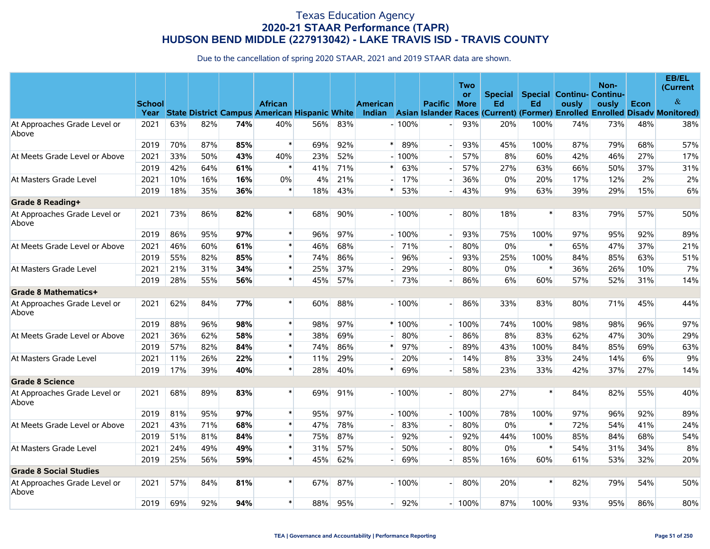|                                       |                       |     |     |     |                |     |     |                 |         |                | Two         |         |        |                                  | Non-  |      | EB/EL<br>(Current                                                                                                                |
|---------------------------------------|-----------------------|-----|-----|-----|----------------|-----|-----|-----------------|---------|----------------|-------------|---------|--------|----------------------------------|-------|------|----------------------------------------------------------------------------------------------------------------------------------|
|                                       |                       |     |     |     |                |     |     |                 |         |                | <b>or</b>   | Special |        | <b>Special Continu- Continu-</b> |       |      | $\&$                                                                                                                             |
|                                       | <b>School</b><br>Year |     |     |     | <b>African</b> |     |     | <b>American</b> |         | <b>Pacific</b> | <b>More</b> | Ed      | Ed     | ously                            | ously | Econ | State District Campus American Hispanic White Indian Asian Islander Races (Current) (Former) Enrolled Enrolled Disady Monitored) |
| At Approaches Grade Level or<br>Above | 2021                  | 63% | 82% | 74% | 40%            | 56% | 83% |                 | $-100%$ |                | 93%         | 20%     | 100%   | 74%                              | 73%   | 48%  | 38%                                                                                                                              |
|                                       | 2019                  | 70% | 87% | 85% | $\ast$         | 69% | 92% | $\ast$          | 89%     |                | 93%         | 45%     | 100%   | 87%                              | 79%   | 68%  | 57%                                                                                                                              |
| At Meets Grade Level or Above         | 2021                  | 33% | 50% | 43% | 40%            | 23% | 52% |                 | $-100%$ |                | 57%         | 8%      | 60%    | 42%                              | 46%   | 27%  | 17%                                                                                                                              |
|                                       | 2019                  | 42% | 64% | 61% | $\ast$         | 41% | 71% |                 | 63%     |                | 57%         | 27%     | 63%    | 66%                              | 50%   | 37%  | 31%                                                                                                                              |
| At Masters Grade Level                | 2021                  | 10% | 16% | 16% | 0%             | 4%  | 21% |                 | 17%     |                | 36%         | $0\%$   | 20%    | 17%                              | 12%   | 2%   | 2%                                                                                                                               |
|                                       | 2019                  | 18% | 35% | 36% | $\ast$         | 18% | 43% |                 | 53%     |                | 43%         | 9%      | 63%    | 39%                              | 29%   | 15%  | 6%                                                                                                                               |
| Grade 8 Reading+                      |                       |     |     |     |                |     |     |                 |         |                |             |         |        |                                  |       |      |                                                                                                                                  |
| At Approaches Grade Level or<br>Above | 2021                  | 73% | 86% | 82% | $\ast$         | 68% | 90% |                 | $-100%$ |                | 80%         | 18%     | $\ast$ | 83%                              | 79%   | 57%  | 50%                                                                                                                              |
|                                       | 2019                  | 86% | 95% | 97% | $\ast$         | 96% | 97% |                 | $-100%$ |                | 93%         | 75%     | 100%   | 97%                              | 95%   | 92%  | 89%                                                                                                                              |
| At Meets Grade Level or Above         | 2021                  | 46% | 60% | 61% | $\ast$         | 46% | 68% |                 | 71%     |                | 80%         | 0%      | $\ast$ | 65%                              | 47%   | 37%  | 21%                                                                                                                              |
|                                       | 2019                  | 55% | 82% | 85% | $\ast$         | 74% | 86% |                 | 96%     |                | 93%         | 25%     | 100%   | 84%                              | 85%   | 63%  | 51%                                                                                                                              |
| At Masters Grade Level                | 2021                  | 21% | 31% | 34% | $\ast$         | 25% | 37% |                 | 29%     |                | 80%         | 0%      | $\ast$ | 36%                              | 26%   | 10%  | 7%                                                                                                                               |
|                                       | 2019                  | 28% | 55% | 56% | $\ast$         | 45% | 57% |                 | 73%     |                | 86%         | 6%      | 60%    | 57%                              | 52%   | 31%  | 14%                                                                                                                              |
| <b>Grade 8 Mathematics+</b>           |                       |     |     |     |                |     |     |                 |         |                |             |         |        |                                  |       |      |                                                                                                                                  |
| At Approaches Grade Level or<br>Above | 2021                  | 62% | 84% | 77% | $\ast$         | 60% | 88% |                 | $-100%$ |                | 86%         | 33%     | 83%    | 80%                              | 71%   | 45%  | 44%                                                                                                                              |
|                                       | 2019                  | 88% | 96% | 98% | $\ast$         | 98% | 97% |                 | * 100%  |                | $-100%$     | 74%     | 100%   | 98%                              | 98%   | 96%  | 97%                                                                                                                              |
| At Meets Grade Level or Above         | 2021                  | 36% | 62% | 58% | $\ast$         | 38% | 69% |                 | 80%     |                | 86%         | 8%      | 83%    | 62%                              | 47%   | 30%  | 29%                                                                                                                              |
|                                       | 2019                  | 57% | 82% | 84% | $\ast$         | 74% | 86% | $\ast$          | 97%     |                | 89%         | 43%     | 100%   | 84%                              | 85%   | 69%  | 63%                                                                                                                              |
| At Masters Grade Level                | 2021                  | 11% | 26% | 22% | $\ast$         | 11% | 29% |                 | 20%     |                | 14%         | 8%      | 33%    | 24%                              | 14%   | 6%   | 9%                                                                                                                               |
|                                       | 2019                  | 17% | 39% | 40% | $\ast$         | 28% | 40% | $\ast$          | 69%     |                | 58%         | 23%     | 33%    | 42%                              | 37%   | 27%  | 14%                                                                                                                              |
| <b>Grade 8 Science</b>                |                       |     |     |     |                |     |     |                 |         |                |             |         |        |                                  |       |      |                                                                                                                                  |
| At Approaches Grade Level or<br>Above | 2021                  | 68% | 89% | 83% | $\ast$         | 69% | 91% |                 | $-100%$ |                | 80%         | 27%     | $\ast$ | 84%                              | 82%   | 55%  | 40%                                                                                                                              |
|                                       | 2019                  | 81% | 95% | 97% | $\pmb{\ast}$   | 95% | 97% |                 | $-100%$ |                | 100%        | 78%     | 100%   | 97%                              | 96%   | 92%  | 89%                                                                                                                              |
| At Meets Grade Level or Above         | 2021                  | 43% | 71% | 68% | $\ast$         | 47% | 78% |                 | 83%     |                | 80%         | 0%      | $\ast$ | 72%                              | 54%   | 41%  | 24%                                                                                                                              |
|                                       | 2019                  | 51% | 81% | 84% | $\ast$         | 75% | 87% |                 | 92%     |                | 92%         | 44%     | 100%   | 85%                              | 84%   | 68%  | 54%                                                                                                                              |
| At Masters Grade Level                | 2021                  | 24% | 49% | 49% | $\ast$         | 31% | 57% |                 | 50%     |                | 80%         | 0%      | $\ast$ | 54%                              | 31%   | 34%  | 8%                                                                                                                               |
|                                       | 2019                  | 25% | 56% | 59% | $\ast$         | 45% | 62% |                 | 69%     |                | 85%         | 16%     | 60%    | 61%                              | 53%   | 32%  | 20%                                                                                                                              |
| <b>Grade 8 Social Studies</b>         |                       |     |     |     |                |     |     |                 |         |                |             |         |        |                                  |       |      |                                                                                                                                  |
| At Approaches Grade Level or<br>Above | 2021                  | 57% | 84% | 81% | $\ast$         | 67% | 87% |                 | $-100%$ |                | 80%         | 20%     | $\ast$ | 82%                              | 79%   | 54%  | 50%                                                                                                                              |
|                                       | 2019                  | 69% | 92% | 94% | $\ast$         | 88% | 95% |                 | 92%     |                | $-100%$     | 87%     | 100%   | 93%                              | 95%   | 86%  | 80%                                                                                                                              |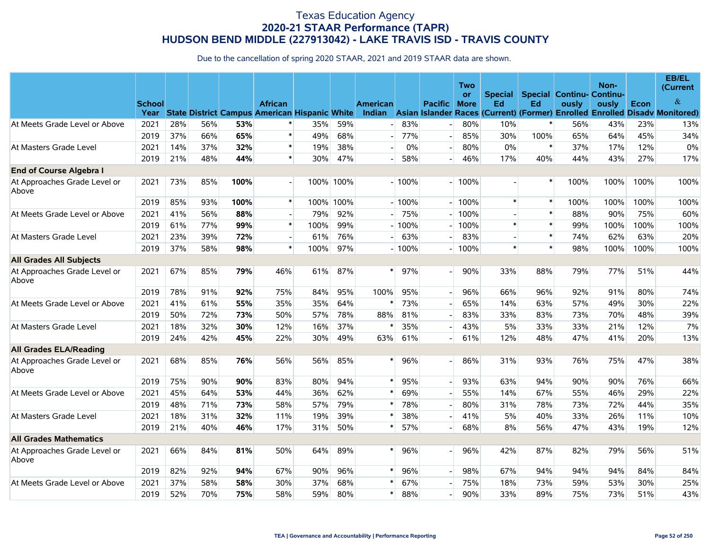|                                       |               |     |     |      |                                                    |      |           |                 |         |                | <b>Two</b>               |                 |        |                                           | Non-  |      | <b>EB/EL</b><br>(Current                                                           |
|---------------------------------------|---------------|-----|-----|------|----------------------------------------------------|------|-----------|-----------------|---------|----------------|--------------------------|-----------------|--------|-------------------------------------------|-------|------|------------------------------------------------------------------------------------|
|                                       | <b>School</b> |     |     |      | <b>African</b>                                     |      |           | <b>American</b> |         | <b>Pacific</b> | <b>or</b><br><b>More</b> | Special  <br>Ed | Ed     | <b>Special Continu- Continu-</b><br>ously | ously | Econ | $\&$                                                                               |
|                                       |               |     |     |      | Year State District Campus American Hispanic White |      |           |                 |         |                |                          |                 |        |                                           |       |      | Indian Asian Islander Races (Current) (Former) Enrolled Enrolled Disady Monitored) |
| At Meets Grade Level or Above         | 2021          | 28% | 56% | 53%  |                                                    | 35%  | 59%       | $\overline{a}$  | 83%     |                | 80%                      | 10%             |        | 56%                                       | 43%   | 23%  | 13%                                                                                |
|                                       | 2019          | 37% | 66% | 65%  | $\ast$                                             | 49%  | 68%       |                 | 77%     |                | 85%                      | 30%             | 100%   | 65%                                       | 64%   | 45%  | 34%                                                                                |
| At Masters Grade Level                | 2021          | 14% | 37% | 32%  | $\ast$                                             | 19%  | 38%       |                 | 0%      |                | 80%                      | 0%              | $\ast$ | 37%                                       | 17%   | 12%  | 0%                                                                                 |
|                                       | 2019          | 21% | 48% | 44%  | $\pmb{\ast}$                                       | 30%  | 47%       |                 | 58%     |                | 46%                      | 17%             | 40%    | 44%                                       | 43%   | 27%  | 17%                                                                                |
| <b>End of Course Algebra I</b>        |               |     |     |      |                                                    |      |           |                 |         |                |                          |                 |        |                                           |       |      |                                                                                    |
| At Approaches Grade Level or<br>Above | 2021          | 73% | 85% | 100% | $\overline{a}$                                     |      | 100% 100% |                 | $-100%$ |                | $-100%$                  |                 | $\ast$ | 100%                                      | 100%  | 100% | 100%                                                                               |
|                                       | 2019          | 85% | 93% | 100% | $\ast$                                             | 100% | 100%      |                 | $-100%$ |                | 100%                     | $\ast$          | $\ast$ | 100%                                      | 100%  | 100% | 100%                                                                               |
| At Meets Grade Level or Above         | 2021          | 41% | 56% | 88%  |                                                    | 79%  | 92%       |                 | 75%     |                | 100%                     |                 | $\ast$ | 88%                                       | 90%   | 75%  | 60%                                                                                |
|                                       | 2019          | 61% | 77% | 99%  | $\ast$                                             | 100% | 99%       |                 | $-100%$ |                | 100%                     | $\ast$          | $\ast$ | 99%                                       | 100%  | 100% | 100%                                                                               |
| At Masters Grade Level                | 2021          | 23% | 39% | 72%  | $\overline{a}$                                     | 61%  | 76%       |                 | 63%     |                | 83%                      |                 | $\ast$ | 74%                                       | 62%   | 63%  | 20%                                                                                |
|                                       | 2019          | 37% | 58% | 98%  | $\ast$                                             | 100% | 97%       |                 | $-100%$ |                | 100%                     | $\ast$          | $\ast$ | 98%                                       | 100%  | 100% | 100%                                                                               |
| <b>All Grades All Subjects</b>        |               |     |     |      |                                                    |      |           |                 |         |                |                          |                 |        |                                           |       |      |                                                                                    |
| At Approaches Grade Level or<br>Above | 2021          | 67% | 85% | 79%  | 46%                                                | 61%  | 87%       | $\ast$          | 97%     |                | 90%                      | 33%             | 88%    | 79%                                       | 77%   | 51%  | 44%                                                                                |
|                                       | 2019          | 78% | 91% | 92%  | 75%                                                | 84%  | 95%       | 100%            | 95%     |                | 96%                      | 66%             | 96%    | 92%                                       | 91%   | 80%  | 74%                                                                                |
| At Meets Grade Level or Above         | 2021          | 41% | 61% | 55%  | 35%                                                | 35%  | 64%       |                 | 73%     |                | 65%                      | 14%             | 63%    | 57%                                       | 49%   | 30%  | 22%                                                                                |
|                                       | 2019          | 50% | 72% | 73%  | 50%                                                | 57%  | 78%       | 88%             | 81%     |                | 83%                      | 33%             | 83%    | 73%                                       | 70%   | 48%  | 39%                                                                                |
| At Masters Grade Level                | 2021          | 18% | 32% | 30%  | 12%                                                | 16%  | 37%       |                 | 35%     |                | 43%                      | 5%              | 33%    | 33%                                       | 21%   | 12%  | 7%                                                                                 |
|                                       | 2019          | 24% | 42% | 45%  | 22%                                                | 30%  | 49%       | 63%             | 61%     |                | 61%                      | 12%             | 48%    | 47%                                       | 41%   | 20%  | 13%                                                                                |
| <b>All Grades ELA/Reading</b>         |               |     |     |      |                                                    |      |           |                 |         |                |                          |                 |        |                                           |       |      |                                                                                    |
| At Approaches Grade Level or<br>Above | 2021          | 68% | 85% | 76%  | 56%                                                | 56%  | 85%       |                 | 96%     |                | 86%                      | 31%             | 93%    | 76%                                       | 75%   | 47%  | 38%                                                                                |
|                                       | 2019          | 75% | 90% | 90%  | 83%                                                | 80%  | 94%       | $\ast$          | 95%     |                | 93%                      | 63%             | 94%    | 90%                                       | 90%   | 76%  | 66%                                                                                |
| At Meets Grade Level or Above         | 2021          | 45% | 64% | 53%  | 44%                                                | 36%  | 62%       |                 | 69%     |                | 55%                      | 14%             | 67%    | 55%                                       | 46%   | 29%  | 22%                                                                                |
|                                       | 2019          | 48% | 71% | 73%  | 58%                                                | 57%  | 79%       |                 | 78%     |                | 80%                      | 31%             | 78%    | 73%                                       | 72%   | 44%  | 35%                                                                                |
| At Masters Grade Level                | 2021          | 18% | 31% | 32%  | 11%                                                | 19%  | 39%       |                 | 38%     |                | 41%                      | 5%              | 40%    | 33%                                       | 26%   | 11%  | 10%                                                                                |
|                                       | 2019          | 21% | 40% | 46%  | 17%                                                | 31%  | 50%       | $\ast$          | 57%     |                | 68%                      | 8%              | 56%    | 47%                                       | 43%   | 19%  | 12%                                                                                |
| <b>All Grades Mathematics</b>         |               |     |     |      |                                                    |      |           |                 |         |                |                          |                 |        |                                           |       |      |                                                                                    |
| At Approaches Grade Level or<br>Above | 2021          | 66% | 84% | 81%  | 50%                                                | 64%  | 89%       | $\ast$          | 96%     |                | 96%                      | 42%             | 87%    | 82%                                       | 79%   | 56%  | 51%                                                                                |
|                                       | 2019          | 82% | 92% | 94%  | 67%                                                | 90%  | 96%       | $\ast$          | 96%     |                | 98%                      | 67%             | 94%    | 94%                                       | 94%   | 84%  | 84%                                                                                |
| At Meets Grade Level or Above         | 2021          | 37% | 58% | 58%  | 30%                                                | 37%  | 68%       |                 | 67%     |                | 75%                      | 18%             | 73%    | 59%                                       | 53%   | 30%  | 25%                                                                                |
|                                       | 2019          | 52% | 70% | 75%  | 58%                                                | 59%  | 80%       |                 | 88%     |                | 90%                      | 33%             | 89%    | 75%                                       | 73%   | 51%  | 43%                                                                                |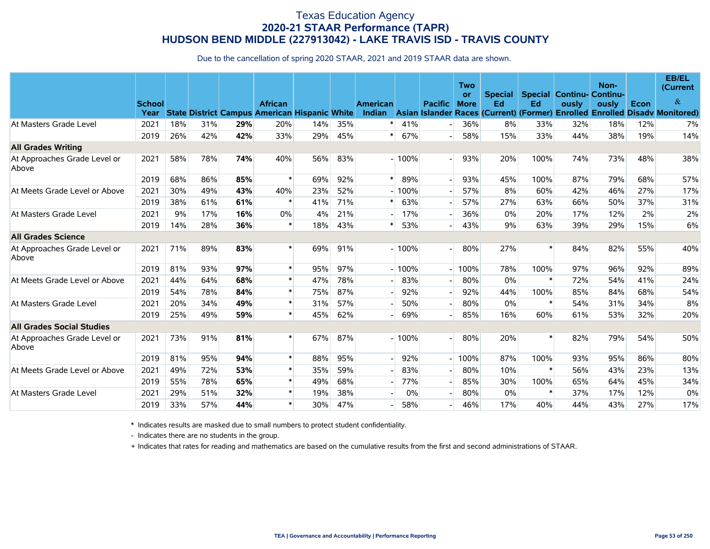Due to the cancellation of spring 2020 STAAR, 2021 and 2019 STAAR data are shown.

|                                       | <b>School</b><br>Year |     |     |     | <b>African</b><br><b>State District Campus American Hispanic White</b> |     |     | <b>American</b> |         | <b>Pacific</b> | <b>Two</b><br>or<br><b>More</b> | <b>Special</b><br>Ed | Ed     | <b>Special Continu- Continu-</b><br>ously | Non-<br>ously | Econ | EB/EL<br>(Current<br>$\&$<br>Indian Asian Islander Races (Current) (Former) Enrolled Enrolled Disady Monitored) |
|---------------------------------------|-----------------------|-----|-----|-----|------------------------------------------------------------------------|-----|-----|-----------------|---------|----------------|---------------------------------|----------------------|--------|-------------------------------------------|---------------|------|-----------------------------------------------------------------------------------------------------------------|
| At Masters Grade Level                | 2021                  | 18% | 31% | 29% | 20%                                                                    | 14% | 35% |                 | 41%     |                | 36%                             | 8%                   | 33%    | 32%                                       | 18%           | 12%  | 7%                                                                                                              |
|                                       | 2019                  | 26% | 42% | 42% | 33%                                                                    | 29% | 45% | $\ast$          | 67%     |                | 58%                             | 15%                  | 33%    | 44%                                       | 38%           | 19%  | 14%                                                                                                             |
| <b>All Grades Writing</b>             |                       |     |     |     |                                                                        |     |     |                 |         |                |                                 |                      |        |                                           |               |      |                                                                                                                 |
| At Approaches Grade Level or<br>Above | 2021                  | 58% | 78% | 74% | 40%                                                                    | 56% | 83% |                 | $-100%$ |                | 93%                             | 20%                  | 100%   | 74%                                       | 73%           | 48%  | 38%                                                                                                             |
|                                       | 2019                  | 68% | 86% | 85% | $\ast$                                                                 | 69% | 92% | $\ast$          | 89%     |                | 93%                             | 45%                  | 100%   | 87%                                       | 79%           | 68%  | 57%                                                                                                             |
| At Meets Grade Level or Above         | 2021                  | 30% | 49% | 43% | 40%                                                                    | 23% | 52% |                 | $-100%$ |                | 57%                             | 8%                   | 60%    | 42%                                       | 46%           | 27%  | 17%                                                                                                             |
|                                       | 2019                  | 38% | 61% | 61% | $\ast$                                                                 | 41% | 71% |                 | 63%     |                | 57%                             | 27%                  | 63%    | 66%                                       | 50%           | 37%  | 31%                                                                                                             |
| At Masters Grade Level                | 2021                  | 9%  | 17% | 16% | 0%                                                                     | 4%  | 21% |                 | 17%     |                | 36%                             | 0%                   | 20%    | 17%                                       | 12%           | 2%   | 2%                                                                                                              |
|                                       | 2019                  | 14% | 28% | 36% | $\ast$                                                                 | 18% | 43% |                 | 53%     |                | 43%                             | 9%                   | 63%    | 39%                                       | 29%           | 15%  | 6%                                                                                                              |
| <b>All Grades Science</b>             |                       |     |     |     |                                                                        |     |     |                 |         |                |                                 |                      |        |                                           |               |      |                                                                                                                 |
| At Approaches Grade Level or<br>Above | 2021                  | 71% | 89% | 83% | $\ast$                                                                 | 69% | 91% |                 | $-100%$ |                | 80%                             | 27%                  | $\ast$ | 84%                                       | 82%           | 55%  | 40%                                                                                                             |
|                                       | 2019                  | 81% | 93% | 97% | $\ast$                                                                 | 95% | 97% |                 | $-100%$ |                | 100%                            | 78%                  | 100%   | 97%                                       | 96%           | 92%  | 89%                                                                                                             |
| At Meets Grade Level or Above         | 2021                  | 44% | 64% | 68% | $\ast$                                                                 | 47% | 78% |                 | 83%     |                | 80%                             | 0%                   | $\ast$ | 72%                                       | 54%           | 41%  | 24%                                                                                                             |
|                                       | 2019                  | 54% | 78% | 84% | $\ast$                                                                 | 75% | 87% |                 | 92%     |                | 92%                             | 44%                  | 100%   | 85%                                       | 84%           | 68%  | 54%                                                                                                             |
| At Masters Grade Level                | 2021                  | 20% | 34% | 49% | $\ast$                                                                 | 31% | 57% |                 | 50%     |                | 80%                             | 0%                   | $\ast$ | 54%                                       | 31%           | 34%  | 8%                                                                                                              |
|                                       | 2019                  | 25% | 49% | 59% | $\ast$                                                                 | 45% | 62% |                 | 69%     |                | 85%                             | 16%                  | 60%    | 61%                                       | 53%           | 32%  | 20%                                                                                                             |
| <b>All Grades Social Studies</b>      |                       |     |     |     |                                                                        |     |     |                 |         |                |                                 |                      |        |                                           |               |      |                                                                                                                 |
| At Approaches Grade Level or<br>Above | 2021                  | 73% | 91% | 81% | $\ast$                                                                 | 67% | 87% |                 | $-100%$ |                | 80%                             | 20%                  | $\ast$ | 82%                                       | 79%           | 54%  | 50%                                                                                                             |
|                                       | 2019                  | 81% | 95% | 94% | $\ast$                                                                 | 88% | 95% |                 | 92%     |                | 100%                            | 87%                  | 100%   | 93%                                       | 95%           | 86%  | 80%                                                                                                             |
| At Meets Grade Level or Above         | 2021                  | 49% | 72% | 53% | $\ast$                                                                 | 35% | 59% |                 | 83%     |                | 80%                             | 10%                  | $\ast$ | 56%                                       | 43%           | 23%  | 13%                                                                                                             |
|                                       | 2019                  | 55% | 78% | 65% | $\ast$                                                                 | 49% | 68% |                 | 77%     |                | 85%                             | 30%                  | 100%   | 65%                                       | 64%           | 45%  | 34%                                                                                                             |
| At Masters Grade Level                | 2021                  | 29% | 51% | 32% | $\ast$                                                                 | 19% | 38% |                 | 0%      |                | 80%                             | 0%                   | $\ast$ | 37%                                       | 17%           | 12%  | 0%                                                                                                              |
|                                       | 2019                  | 33% | 57% | 44% | $\ast$                                                                 | 30% | 47% |                 | 58%     |                | 46%                             | 17%                  | 40%    | 44%                                       | 43%           | 27%  | 17%                                                                                                             |

\* Indicates results are masked due to small numbers to protect student confidentiality.

- Indicates there are no students in the group.

+ Indicates that rates for reading and mathematics are based on the cumulative results from the first and second administrations of STAAR.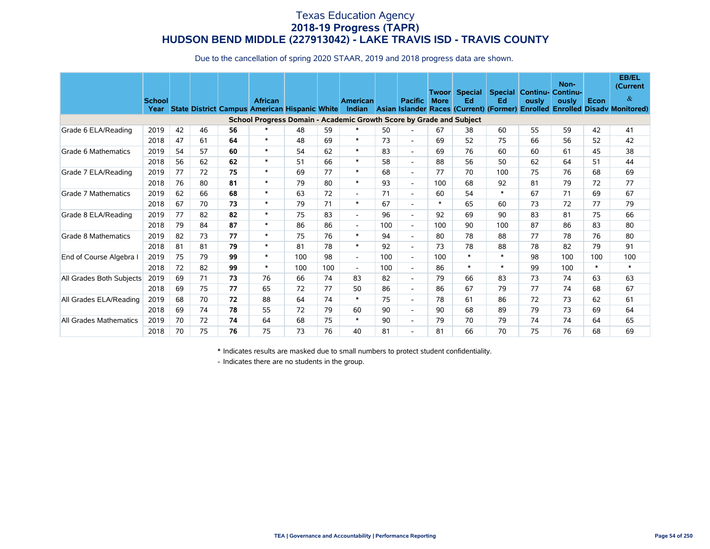Due to the cancellation of spring 2020 STAAR, 2019 and 2018 progress data are shown.

|                          | <b>School</b> |    |    |    | <b>African</b><br>Year State District Campus American Hispanic White |     |     | <b>American</b>          |     | <b>Pacific</b>           | Twoorl<br><b>More</b> | Special<br>Ed | Ed     | <b>Special Continu- Continu-</b><br>ously | Non-<br>ously | Econ   | <b>EB/EL</b><br>(Current<br>$\&$<br>Indian Asian Islander Races (Current) (Former) Enrolled Enrolled Disadv Monitored) |
|--------------------------|---------------|----|----|----|----------------------------------------------------------------------|-----|-----|--------------------------|-----|--------------------------|-----------------------|---------------|--------|-------------------------------------------|---------------|--------|------------------------------------------------------------------------------------------------------------------------|
|                          |               |    |    |    | School Progress Domain - Academic Growth Score by Grade and Subject  |     |     |                          |     |                          |                       |               |        |                                           |               |        |                                                                                                                        |
| Grade 6 ELA/Reading      | 2019          | 42 | 46 | 56 | $\ast$                                                               | 48  | 59  | $\ast$                   | 50  |                          | 67                    | 38            | 60     | 55                                        | 59            | 42     | 41                                                                                                                     |
|                          | 2018          | 47 | 61 | 64 | $\ast$                                                               | 48  | 69  | $\ast$                   | 73  | $\overline{a}$           | 69                    | 52            | 75     | 66                                        | 56            | 52     | 42                                                                                                                     |
| Grade 6 Mathematics      | 2019          | 54 | 57 | 60 | $\ast$                                                               | 54  | 62  | $\ast$                   | 83  | $\overline{\phantom{a}}$ | 69                    | 76            | 60     | 60                                        | 61            | 45     | 38                                                                                                                     |
|                          | 2018          | 56 | 62 | 62 | $\ast$                                                               | 51  | 66  | $\ast$                   | 58  | $\overline{a}$           | 88                    | 56            | 50     | 62                                        | 64            | 51     | 44                                                                                                                     |
| Grade 7 ELA/Reading      | 2019          | 77 | 72 | 75 | $\ast$                                                               | 69  | 77  | $\ast$                   | 68  | $\overline{\phantom{a}}$ | 77                    | 70            | 100    | 75                                        | 76            | 68     | 69                                                                                                                     |
|                          | 2018          | 76 | 80 | 81 | $\ast$                                                               | 79  | 80  | $\ast$                   | 93  | $\overline{\phantom{a}}$ | 100                   | 68            | 92     | 81                                        | 79            | 72     | 77                                                                                                                     |
| Grade 7 Mathematics      | 2019          | 62 | 66 | 68 | $\ast$                                                               | 63  | 72  | $\overline{\phantom{a}}$ | 71  | $\overline{\phantom{a}}$ | 60                    | 54            | $\ast$ | 67                                        | 71            | 69     | 67                                                                                                                     |
|                          | 2018          | 67 | 70 | 73 | $\ast$                                                               | 79  | 71  | $\ast$                   | 67  | $\overline{a}$           | $\ast$                | 65            | 60     | 73                                        | 72            | 77     | 79                                                                                                                     |
| Grade 8 ELA/Reading      | 2019          | 77 | 82 | 82 | $\ast$                                                               | 75  | 83  | $\overline{\phantom{a}}$ | 96  | $\overline{\phantom{a}}$ | 92                    | 69            | 90     | 83                                        | 81            | 75     | 66                                                                                                                     |
|                          | 2018          | 79 | 84 | 87 | $\ast$                                                               | 86  | 86  | $\overline{\phantom{a}}$ | 100 | $\overline{\phantom{a}}$ | 100                   | 90            | 100    | 87                                        | 86            | 83     | 80                                                                                                                     |
| Grade 8 Mathematics      | 2019          | 82 | 73 | 77 | $\ast$                                                               | 75  | 76  | $\ast$                   | 94  | $\overline{\phantom{a}}$ | 80                    | 78            | 88     | 77                                        | 78            | 76     | 80                                                                                                                     |
|                          | 2018          | 81 | 81 | 79 | $\ast$                                                               | 81  | 78  | $\ast$                   | 92  | $\overline{\phantom{a}}$ | 73                    | 78            | 88     | 78                                        | 82            | 79     | 91                                                                                                                     |
| End of Course Algebra I  | 2019          | 75 | 79 | 99 | $\ast$                                                               | 100 | 98  | $\overline{\phantom{a}}$ | 100 | $\overline{\phantom{a}}$ | 100                   | $\ast$        | $\ast$ | 98                                        | 100           | 100    | 100                                                                                                                    |
|                          | 2018          | 72 | 82 | 99 | $\ast$                                                               | 100 | 100 | $\overline{\phantom{a}}$ | 100 | $\overline{\phantom{a}}$ | 86                    | $\ast$        | $\ast$ | 99                                        | 100           | $\ast$ | $\ast$                                                                                                                 |
| All Grades Both Subjects | 2019          | 69 | 71 | 73 | 76                                                                   | 66  | 74  | 83                       | 82  | $\overline{\phantom{a}}$ | 79                    | 66            | 83     | 73                                        | 74            | 63     | 63                                                                                                                     |
|                          | 2018          | 69 | 75 | 77 | 65                                                                   | 72  | 77  | 50                       | 86  | $\overline{\phantom{a}}$ | 86                    | 67            | 79     | 77                                        | 74            | 68     | 67                                                                                                                     |
| All Grades ELA/Reading   | 2019          | 68 | 70 | 72 | 88                                                                   | 64  | 74  | $\ast$                   | 75  | $\overline{\phantom{a}}$ | 78                    | 61            | 86     | 72                                        | 73            | 62     | 61                                                                                                                     |
|                          | 2018          | 69 | 74 | 78 | 55                                                                   | 72  | 79  | 60                       | 90  | $\overline{a}$           | 90                    | 68            | 89     | 79                                        | 73            | 69     | 64                                                                                                                     |
| All Grades Mathematics   | 2019          | 70 | 72 | 74 | 64                                                                   | 68  | 75  | $\ast$                   | 90  | $\overline{a}$           | 79                    | 70            | 79     | 74                                        | 74            | 64     | 65                                                                                                                     |
|                          | 2018          | 70 | 75 | 76 | 75                                                                   | 73  | 76  | 40                       | 81  | $\overline{\phantom{a}}$ | 81                    | 66            | 70     | 75                                        | 76            | 68     | 69                                                                                                                     |

\* Indicates results are masked due to small numbers to protect student confidentiality.

- Indicates there are no students in the group.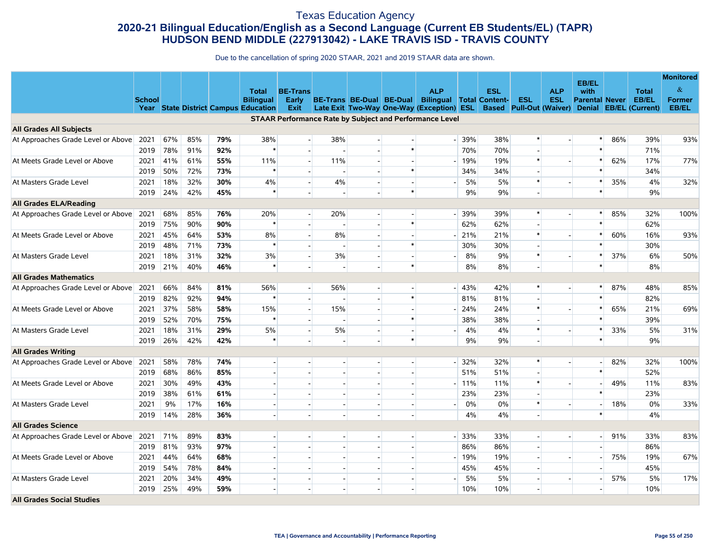# Texas Education Agency **2020-21 Bilingual Education/English as a Second Language (Current EB Students/EL) (TAPR) HUDSON BEND MIDDLE (227913042) - LAKE TRAVIS ISD - TRAVIS COUNTY**

|                                    |               |            |            |            |                                             |                          |                          |        |                                                                |                |                       |                |                         |                       |     |                        | <b>Monitored</b> |
|------------------------------------|---------------|------------|------------|------------|---------------------------------------------|--------------------------|--------------------------|--------|----------------------------------------------------------------|----------------|-----------------------|----------------|-------------------------|-----------------------|-----|------------------------|------------------|
|                                    |               |            |            |            | <b>Total</b>                                | <b>BE-Trans</b>          |                          |        | <b>ALP</b>                                                     |                | <b>ESL</b>            |                | <b>ALP</b>              | EB/EL<br>with         |     | <b>Total</b>           | $\alpha$         |
|                                    | <b>School</b> |            |            |            | <b>Bilingual</b>                            | Early                    | BE-Trans BE-Dual BE-Dual |        | <b>Bilingual</b>                                               |                | <b>Total Content-</b> | <b>ESL</b>     | <b>ESL</b>              | <b>Parental Never</b> |     | <b>EB/EL</b>           | <b>Former</b>    |
|                                    |               |            |            |            | <b>Year State District Campus Education</b> | Exit                     |                          |        | Late Exit Two-Way One-Way (Exception) ESL                      |                |                       |                | Based Pull-Out (Waiver) | <b>Denial</b>         |     | <b>EB/EL (Current)</b> | EB/EL            |
|                                    |               |            |            |            |                                             |                          |                          |        | <b>STAAR Performance Rate by Subject and Performance Level</b> |                |                       |                |                         |                       |     |                        |                  |
| <b>All Grades All Subjects</b>     |               |            |            |            |                                             | $\overline{a}$           |                          |        |                                                                |                |                       | $\ast$         | $\overline{a}$          | $\ast$                |     |                        |                  |
| At Approaches Grade Level or Above | 2021          | 67%<br>78% | 85%<br>91% | 79%<br>92% | 38%<br>$\ast$                               | $\blacksquare$           | 38%                      | $\ast$ |                                                                | $-139%$<br>70% | 38%<br>70%            |                |                         |                       | 86% | 39%<br>71%             | 93%              |
|                                    | 2019          |            |            |            |                                             | $\mathbf{L}$             |                          |        |                                                                |                | 19%                   | $\ast$         |                         |                       | 62% | 17%                    | 77%              |
| At Meets Grade Level or Above      | 2021<br>2019  | 41%<br>50% | 61%        | 55%<br>73% | 11%<br>$\ast$                               | $\overline{\phantom{a}}$ | 11%                      | $\ast$ |                                                                | $-19%$<br>34%  | 34%                   |                |                         |                       |     | 34%                    |                  |
|                                    |               |            | 72%        |            |                                             |                          |                          |        |                                                                |                |                       | $\ast$         |                         |                       |     |                        |                  |
| At Masters Grade Level             | 2021<br>2019  | 18%        | 32%        | 30%<br>45% | 4%<br>$\ast$                                | $\overline{a}$           | 4%                       | $\ast$ |                                                                | 5%<br>9%       | 5%<br>9%              |                |                         |                       | 35% | 4%<br>9%               | 32%              |
| <b>All Grades ELA/Reading</b>      |               | 24%        | 42%        |            |                                             |                          |                          |        |                                                                |                |                       |                |                         |                       |     |                        |                  |
|                                    | 2021          | 68%        | 85%        | 76%        | 20%                                         | $\overline{\phantom{a}}$ | 20%                      |        |                                                                | 39%            | 39%                   |                |                         |                       | 85% | 32%                    | 100%             |
| At Approaches Grade Level or Above |               | 75%        | 90%        | 90%        | $\ast$                                      | $\mathbf{L}$             |                          | $\ast$ |                                                                |                | 62%                   | $\mathbf{r}$   |                         | $\ast$                |     | 62%                    |                  |
|                                    | 2019          |            |            |            |                                             | $\overline{a}$           |                          |        |                                                                | 62%            |                       | $\ast$         |                         | $\ast$                | 60% |                        |                  |
| At Meets Grade Level or Above      | 2021          | 45%        | 64%        | 53%        | 8%<br>$\ast$                                |                          | 8%                       | $\ast$ |                                                                | $-$ 21%        | 21%                   |                |                         |                       |     | 16%                    | 93%              |
|                                    | 2019          | 48%        | 71%        | 73%        |                                             | $\mathbf{L}$             |                          |        |                                                                | 30%            | 30%                   | $\ast$         |                         |                       |     | 30%                    |                  |
| At Masters Grade Level             | 2021          | 18%        | 31%        | 32%<br>46% | 3%<br>$\ast$                                | $\overline{\phantom{a}}$ | 3%                       | $\ast$ |                                                                | 8%             | 9%                    |                |                         | $\ast$                | 37% | 6%                     | 50%              |
|                                    | 2019          | 21%        | 40%        |            |                                             |                          |                          |        |                                                                | 8%             | 8%                    |                |                         |                       |     | 8%                     |                  |
| <b>All Grades Mathematics</b>      |               |            |            |            |                                             |                          |                          |        |                                                                |                |                       | $\ast$         |                         | $\ast$                |     |                        |                  |
| At Approaches Grade Level or Above | 2021          | 66%        | 84%        | 81%        | 56%<br>$\ast$                               | $\overline{\phantom{0}}$ | 56%                      | $\ast$ |                                                                | $-43%$         | 42%                   |                |                         |                       | 87% | 48%                    | 85%              |
|                                    | 2019          | 82%        | 92%        | 94%        |                                             | $\overline{a}$           |                          |        |                                                                | 81%            | 81%                   | $\ast$         |                         |                       |     | 82%                    |                  |
| At Meets Grade Level or Above      | 2021          | 37%        | 58%        | 58%        | 15%<br>$\ast$                               | $\mathbf{L}$             | 15%                      | $\ast$ |                                                                | $-24%$         | 24%                   |                |                         |                       | 65% | 21%                    | 69%              |
|                                    | 2019          | 52%        | 70%        | 75%        |                                             | $\mathbf{L}$             |                          |        |                                                                | 38%            | 38%                   | $\ast$         |                         |                       |     | 39%                    |                  |
| At Masters Grade Level             | 2021          | 18%        | 31%        | 29%        | 5%                                          | $\overline{a}$           | 5%                       | $\ast$ | $\overline{a}$                                                 | 4%             | 4%                    |                |                         |                       | 33% | 5%                     | 31%              |
|                                    | 2019          | 26%        | 42%        | 42%        | $\ast$                                      |                          |                          |        |                                                                | 9%             | 9%                    |                |                         |                       |     | 9%                     |                  |
| <b>All Grades Writing</b>          |               |            |            |            |                                             |                          |                          |        |                                                                |                |                       |                |                         |                       |     |                        |                  |
| At Approaches Grade Level or Above | 2021          | 58%        | 78%        | 74%        | $\sim$                                      | $\sim$                   |                          |        |                                                                | $-32%$         | 32%                   | $\ast$         |                         | $\ast$                | 82% | 32%                    | 100%             |
|                                    | 2019          | 68%        | 86%        | 85%        | $\sim$                                      |                          |                          |        |                                                                | 51%            | 51%                   |                |                         |                       |     | 52%                    |                  |
| At Meets Grade Level or Above      | 2021          | 30%        | 49%        | 43%        | $\blacksquare$                              | $\overline{\phantom{a}}$ | ш.                       |        |                                                                | $-11\%$        | 11%                   | $\ast$         |                         |                       | 49% | 11%                    | 83%              |
|                                    | 2019          | 38%        | 61%        | 61%        | $\overline{\phantom{a}}$                    |                          |                          |        |                                                                | 23%            | 23%                   |                |                         | $\ast$                |     | 23%                    |                  |
| At Masters Grade Level             | 2021          | 9%         | 17%        | 16%        | $\omega$                                    |                          |                          |        |                                                                | 0%             | 0%                    | $\ast$         |                         |                       | 18% | 0%                     | 33%              |
|                                    | 2019          | 14%        | 28%        | 36%        | $\mathbf{r}$                                | $\overline{a}$           |                          |        |                                                                | 4%             | 4%                    | $\mathbf{r}$   |                         | $\ast$                |     | 4%                     |                  |
| <b>All Grades Science</b>          |               |            |            |            |                                             |                          |                          |        |                                                                |                |                       |                |                         |                       |     |                        |                  |
| At Approaches Grade Level or Above | 2021          | 71%        | 89%        | 83%        | $\overline{\phantom{a}}$                    | $\overline{a}$           |                          |        |                                                                | $-33%$         | 33%                   | $\blacksquare$ |                         |                       | 91% | 33%                    | 83%              |
|                                    | 2019          | 81%        | 93%        | 97%        | $\mathbf{r}$                                | $\mathbf{r}$             |                          |        |                                                                | 86%            | 86%                   | $\mathbf{r}$   |                         |                       |     | 86%                    |                  |
| At Meets Grade Level or Above      | 2021          | 44%        | 64%        | 68%        | $\overline{\phantom{a}}$                    |                          |                          |        |                                                                | 19%            | 19%                   |                |                         |                       | 75% | 19%                    | 67%              |
|                                    | 2019          | 54%        | 78%        | 84%        | $\overline{\phantom{a}}$                    |                          |                          |        |                                                                | 45%            | 45%                   |                |                         |                       |     | 45%                    |                  |
| At Masters Grade Level             | 2021          | 20%        | 34%        | 49%        | $\sim$                                      | ш.                       | $\overline{a}$           | $\sim$ | $\overline{\phantom{0}}$                                       | 5%             | 5%                    | $\overline{a}$ | $\sim$                  |                       | 57% | 5%                     | 17%              |
|                                    | 2019          | 25%        | 49%        | 59%        | $\overline{\phantom{a}}$                    | $\overline{\phantom{a}}$ |                          |        |                                                                | 10%            | 10%                   |                |                         |                       |     | 10%                    |                  |
| <b>All Grades Social Studies</b>   |               |            |            |            |                                             |                          |                          |        |                                                                |                |                       |                |                         |                       |     |                        |                  |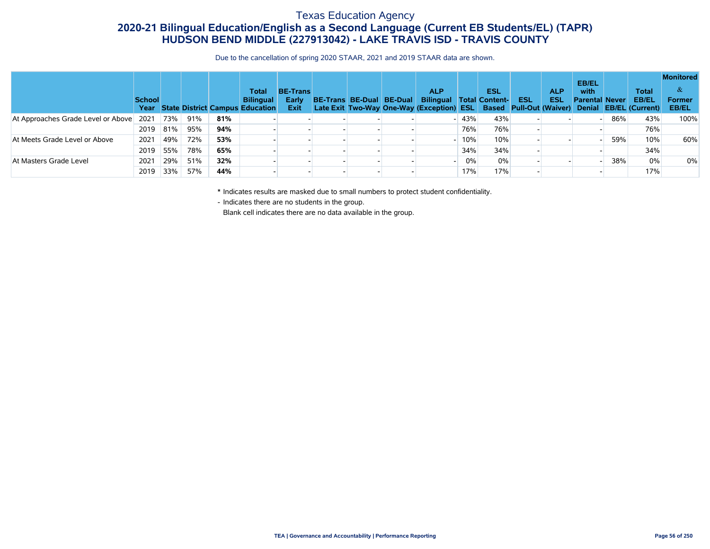# Texas Education Agency **2020-21 Bilingual Education/English as a Second Language (Current EB Students/EL) (TAPR) HUDSON BEND MIDDLE (227913042) - LAKE TRAVIS ISD - TRAVIS COUNTY**

Due to the cancellation of spring 2020 STAAR, 2021 and 2019 STAAR data are shown.

|                                         | <b>School</b><br>Year |     |     |     | Total<br><b>Bilingual</b><br><b>State District Campus Education</b> | <b>BE-Trans</b><br>Early<br><b>Exit</b> | <b>BE-Trans BE-Dual BE-Dual</b> |  | <b>ALP</b><br><b>Bilingual</b><br>Late Exit Two-Way One-Way (Exception) ESL Based Pull-Out (Waiver) |     | <b>ESL</b><br><b>Total Content-</b> | <b>ESL</b> | <b>ALP</b><br>ESL | <b>EB/EL</b><br>with<br><b>Parental Never</b> |     | <b>Total</b><br><b>EB/EL</b><br>Denial EB/EL (Current) | <b>Monitored</b><br>$\alpha$<br><b>Former</b><br><b>EB/EL</b> |
|-----------------------------------------|-----------------------|-----|-----|-----|---------------------------------------------------------------------|-----------------------------------------|---------------------------------|--|-----------------------------------------------------------------------------------------------------|-----|-------------------------------------|------------|-------------------|-----------------------------------------------|-----|--------------------------------------------------------|---------------------------------------------------------------|
| At Approaches Grade Level or Above 2021 |                       | 73% | 91% | 81% |                                                                     |                                         |                                 |  |                                                                                                     | 43% | 43%                                 |            |                   |                                               | 86% | 43%                                                    | 100%                                                          |
|                                         | 2019                  | 81% | 95% | 94% |                                                                     |                                         |                                 |  |                                                                                                     | 76% | 76%                                 |            |                   |                                               |     | 76%                                                    |                                                               |
| At Meets Grade Level or Above           | 2021                  | 49% | 72% | 53% |                                                                     |                                         |                                 |  |                                                                                                     | 10% | 10%                                 |            |                   |                                               | 59% | 10%                                                    | 60%                                                           |
|                                         | 2019                  | 55% | 78% | 65% |                                                                     |                                         |                                 |  |                                                                                                     | 34% | 34%                                 |            |                   |                                               |     | 34%                                                    |                                                               |
| At Masters Grade Level                  | 2021                  | 29% | 51% | 32% |                                                                     |                                         |                                 |  |                                                                                                     | 0%  | 0%                                  |            |                   |                                               | 38% | 0%                                                     | 0%                                                            |
|                                         | 2019                  | 33% | 57% | 44% |                                                                     |                                         |                                 |  |                                                                                                     | 17% | 17%                                 |            |                   |                                               |     | 17%                                                    |                                                               |

\* Indicates results are masked due to small numbers to protect student confidentiality.

- Indicates there are no students in the group.

Blank cell indicates there are no data available in the group.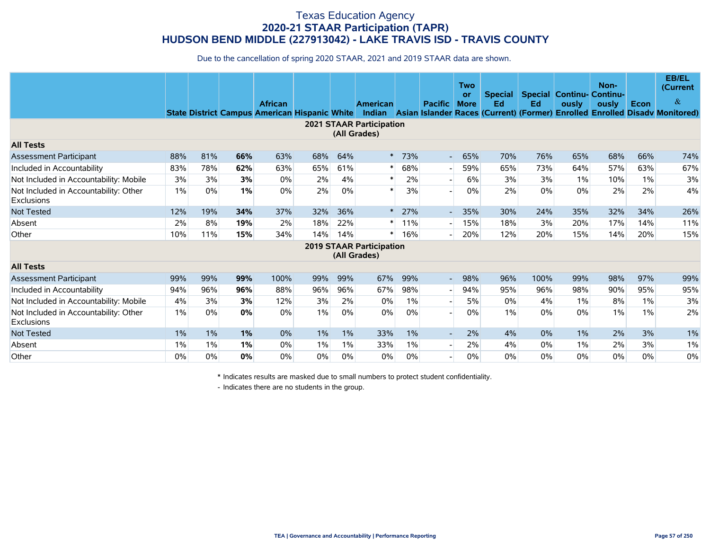Due to the cancellation of spring 2020 STAAR, 2021 and 2019 STAAR data are shown.

|                                                            |     |       |     | <b>African</b><br><b>State District Campus American Hispanic White</b> |     |       | <b>American</b>                                 |       | <b>Pacific</b>           | Two<br>or<br><b>More</b> | <b>Special</b><br>Ed | Ed    | ously | Non-<br><b>Special Continu- Continu-</b><br>ously | Econ | <b>EB/EL</b><br>(Current<br>&<br>Indian Asian Islander Races (Current) (Former) Enrolled Enrolled Disady Monitored) |
|------------------------------------------------------------|-----|-------|-----|------------------------------------------------------------------------|-----|-------|-------------------------------------------------|-------|--------------------------|--------------------------|----------------------|-------|-------|---------------------------------------------------|------|---------------------------------------------------------------------------------------------------------------------|
|                                                            |     |       |     |                                                                        |     |       | <b>2021 STAAR Participation</b><br>(All Grades) |       |                          |                          |                      |       |       |                                                   |      |                                                                                                                     |
| <b>All Tests</b>                                           |     |       |     |                                                                        |     |       |                                                 |       |                          |                          |                      |       |       |                                                   |      |                                                                                                                     |
| <b>Assessment Participant</b>                              | 88% | 81%   | 66% | 63%                                                                    | 68% | 64%   | $\ast$                                          | 73%   | $\blacksquare$           | 65%                      | 70%                  | 76%   | 65%   | 68%                                               | 66%  | 74%                                                                                                                 |
| Included in Accountability                                 | 83% | 78%   | 62% | 63%                                                                    | 65% | 61%   | *                                               | 68%   |                          | 59%                      | 65%                  | 73%   | 64%   | 57%                                               | 63%  | 67%                                                                                                                 |
| Not Included in Accountability: Mobile                     | 3%  | 3%    | 3%  | $0\%$                                                                  | 2%  | 4%    | *                                               | 2%    |                          | 6%                       | 3%                   | 3%    | 1%    | 10%                                               | 1%   | 3%                                                                                                                  |
| Not Included in Accountability: Other<br><b>Exclusions</b> | 1%  | 0%    | 1%  | $0\%$                                                                  | 2%  | 0%    | $\ast$                                          | 3%    |                          | 0%                       | 2%                   | 0%    | 0%    | 2%                                                | 2%   | 4%                                                                                                                  |
| <b>Not Tested</b>                                          | 12% | 19%   | 34% | 37%                                                                    | 32% | 36%   | $\ast$                                          | 27%   | $\overline{\phantom{a}}$ | 35%                      | 30%                  | 24%   | 35%   | 32%                                               | 34%  | 26%                                                                                                                 |
| Absent                                                     | 2%  | 8%    | 19% | 2%                                                                     | 18% | 22%   | *                                               | 11%   |                          | 15%                      | 18%                  | 3%    | 20%   | 17%                                               | 14%  | 11%                                                                                                                 |
| Other                                                      | 10% | 11%   | 15% | 34%                                                                    | 14% | 14%   | *                                               | 16%   |                          | 20%                      | 12%                  | 20%   | 15%   | 14%                                               | 20%  | 15%                                                                                                                 |
|                                                            |     |       |     |                                                                        |     |       | <b>2019 STAAR Participation</b><br>(All Grades) |       |                          |                          |                      |       |       |                                                   |      |                                                                                                                     |
| <b>All Tests</b>                                           |     |       |     |                                                                        |     |       |                                                 |       |                          |                          |                      |       |       |                                                   |      |                                                                                                                     |
| Assessment Participant                                     | 99% | 99%   | 99% | 100%                                                                   | 99% | 99%   | 67%                                             | 99%   | $\blacksquare$           | 98%                      | 96%                  | 100%  | 99%   | 98%                                               | 97%  | 99%                                                                                                                 |
| Included in Accountability                                 | 94% | 96%   | 96% | 88%                                                                    | 96% | 96%   | 67%                                             | 98%   | $\overline{\phantom{a}}$ | 94%                      | 95%                  | 96%   | 98%   | 90%                                               | 95%  | 95%                                                                                                                 |
| Not Included in Accountability: Mobile                     | 4%  | 3%    | 3%  | 12%                                                                    | 3%  | 2%    | 0%                                              | 1%    |                          | 5%                       | $0\%$                | 4%    | 1%    | 8%                                                | 1%   | 3%                                                                                                                  |
| Not Included in Accountability: Other<br>Exclusions        | 1%  | 0%    | 0%  | 0%                                                                     | 1%  | 0%    | $0\%$                                           | 0%    |                          | 0%                       | 1%                   | $0\%$ | 0%    | $1\%$                                             | 1%   | 2%                                                                                                                  |
| Not Tested                                                 | 1%  | $1\%$ | 1%  | 0%                                                                     | 1%  | $1\%$ | 33%                                             | $1\%$ |                          | 2%                       | 4%                   | 0%    | $1\%$ | 2%                                                | 3%   | 1%                                                                                                                  |
| Absent                                                     | 1%  | 1%    | 1%  | 0%                                                                     | 1%  | 1%    | 33%                                             | 1%    |                          | 2%                       | 4%                   | $0\%$ | 1%    | 2%                                                | 3%   | 1%                                                                                                                  |
| Other                                                      | 0%  | 0%    | 0%  | 0%                                                                     | 0%  | 0%    | 0%                                              | 0%    |                          | 0%                       | 0%                   | $0\%$ | 0%    | 0%                                                | 0%   | 0%                                                                                                                  |

\* Indicates results are masked due to small numbers to protect student confidentiality.

- Indicates there are no students in the group.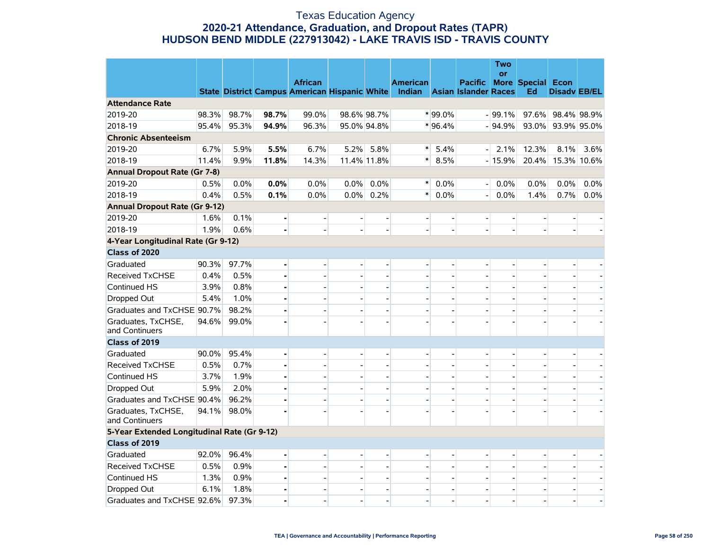### Texas Education Agency **2020-21 Attendance, Graduation, and Dropout Rates (TAPR) HUDSON BEND MIDDLE (227913042) - LAKE TRAVIS ISD - TRAVIS COUNTY**

|                                             |         |       |                | <b>African</b>                                                            |                          |                          | <b>American</b>          |                          | <b>Pacific</b>           | <b>Two</b><br><b>or</b>  | <b>More Special Econ</b> |                     |                          |
|---------------------------------------------|---------|-------|----------------|---------------------------------------------------------------------------|--------------------------|--------------------------|--------------------------|--------------------------|--------------------------|--------------------------|--------------------------|---------------------|--------------------------|
|                                             |         |       |                | State District Campus American Hispanic White Indian Asian Islander Races |                          |                          |                          |                          |                          |                          | Ed                       | <b>Disady EB/EL</b> |                          |
| <b>Attendance Rate</b>                      |         |       |                |                                                                           |                          |                          |                          |                          |                          |                          |                          |                     |                          |
| 2019-20                                     | 98.3%   | 98.7% | 98.7%          | 99.0%                                                                     |                          | 98.6% 98.7%              |                          | *99.0%                   |                          | $-99.1%$                 |                          | 97.6% 98.4% 98.9%   |                          |
| 2018-19                                     | 95.4%   | 95.3% | 94.9%          | 96.3%                                                                     |                          | 95.0% 94.8%              |                          | $*96.4%$                 |                          | $-94.9%$                 |                          | 93.0% 93.9% 95.0%   |                          |
| <b>Chronic Absenteeism</b>                  |         |       |                |                                                                           |                          |                          |                          |                          |                          |                          |                          |                     |                          |
| 2019-20                                     | 6.7%    | 5.9%  | 5.5%           | 6.7%                                                                      | 5.2%                     | 5.8%                     | $\ast$                   | 5.4%                     | $\overline{\phantom{0}}$ | 2.1%                     | 12.3%                    | 8.1%                | 3.6%                     |
| 2018-19                                     | 11.4%   | 9.9%  | 11.8%          | 14.3%                                                                     |                          | 11.4% 11.8%              | $\ast$                   | 8.5%                     |                          | $-15.9%$                 |                          | 20.4% 15.3% 10.6%   |                          |
| <b>Annual Dropout Rate (Gr 7-8)</b>         |         |       |                |                                                                           |                          |                          |                          |                          |                          |                          |                          |                     |                          |
| 2019-20                                     | $0.5\%$ | 0.0%  | 0.0%           | $0.0\%$                                                                   | $0.0\%$                  | 0.0%                     | $\ast$                   | 0.0%                     | $\overline{a}$           | 0.0%                     | 0.0%                     | 0.0%                | 0.0%                     |
| 2018-19                                     | 0.4%    | 0.5%  | 0.1%           | 0.0%                                                                      | 0.0%                     | 0.2%                     | $\pmb{\ast}$             | 0.0%                     |                          | 0.0%                     | 1.4%                     | 0.7%                | 0.0%                     |
| <b>Annual Dropout Rate (Gr 9-12)</b>        |         |       |                |                                                                           |                          |                          |                          |                          |                          |                          |                          |                     |                          |
| 2019-20                                     | 1.6%    | 0.1%  |                |                                                                           | $\overline{\phantom{a}}$ |                          |                          |                          |                          |                          | $\overline{\phantom{a}}$ |                     |                          |
| 2018-19                                     | 1.9%    | 0.6%  |                |                                                                           |                          |                          |                          |                          |                          |                          |                          |                     |                          |
| 4-Year Longitudinal Rate (Gr 9-12)          |         |       |                |                                                                           |                          |                          |                          |                          |                          |                          |                          |                     |                          |
| Class of 2020                               |         |       |                |                                                                           |                          |                          |                          |                          |                          |                          |                          |                     |                          |
| Graduated                                   | 90.3%   | 97.7% | $\blacksquare$ | $\overline{a}$                                                            | $\overline{\phantom{a}}$ | ÷                        | $\overline{a}$           | ÷                        |                          | $\overline{a}$           | $\overline{\phantom{a}}$ |                     |                          |
| <b>Received TxCHSE</b>                      | 0.4%    | 0.5%  | ä,             |                                                                           |                          |                          |                          |                          |                          |                          |                          |                     |                          |
| Continued HS                                | 3.9%    | 0.8%  | ۰              |                                                                           | $\overline{\phantom{a}}$ |                          |                          |                          |                          |                          | $\overline{\phantom{a}}$ |                     |                          |
| Dropped Out                                 | 5.4%    | 1.0%  |                |                                                                           |                          |                          |                          |                          |                          |                          |                          |                     |                          |
| Graduates and TxCHSE 90.7%                  |         | 98.2% |                |                                                                           | $\overline{a}$           |                          |                          |                          |                          |                          |                          |                     |                          |
| Graduates, TxCHSE,<br>and Continuers        | 94.6%   | 99.0% |                |                                                                           | $\overline{a}$           |                          |                          |                          |                          |                          |                          |                     |                          |
| Class of 2019                               |         |       |                |                                                                           |                          |                          |                          |                          |                          |                          |                          |                     |                          |
| Graduated                                   | 90.0%   | 95.4% | ٠              |                                                                           | $\overline{\phantom{a}}$ | $\overline{\phantom{0}}$ | $\overline{a}$           | $\overline{\phantom{a}}$ |                          |                          | $\overline{\phantom{a}}$ |                     |                          |
| <b>Received TxCHSE</b>                      | 0.5%    | 0.7%  | ä,             |                                                                           | $\qquad \qquad -$        |                          |                          |                          |                          |                          |                          |                     |                          |
| <b>Continued HS</b>                         | 3.7%    | 1.9%  | ä,             | $\blacksquare$                                                            | $\overline{a}$           |                          |                          |                          |                          |                          | $\overline{a}$           |                     |                          |
| Dropped Out                                 | 5.9%    | 2.0%  |                |                                                                           | $\overline{a}$           |                          |                          |                          |                          |                          | $\overline{\phantom{0}}$ |                     |                          |
| Graduates and TxCHSE 90.4%                  |         | 96.2% |                |                                                                           | $\blacksquare$           |                          |                          |                          |                          |                          | $\overline{a}$           |                     |                          |
| Graduates, TxCHSE,<br>and Continuers        | 94.1%   | 98.0% |                |                                                                           |                          |                          |                          |                          |                          |                          |                          |                     |                          |
| 5-Year Extended Longitudinal Rate (Gr 9-12) |         |       |                |                                                                           |                          |                          |                          |                          |                          |                          |                          |                     |                          |
| Class of 2019                               |         |       |                |                                                                           |                          |                          |                          |                          |                          |                          |                          |                     |                          |
| Graduated                                   | 92.0%   | 96.4% | ۰              | $\overline{a}$                                                            | $\overline{\phantom{m}}$ |                          | $\overline{\phantom{0}}$ | ÷,                       | $\overline{\phantom{a}}$ | $\overline{\phantom{a}}$ | $\overline{\phantom{a}}$ |                     |                          |
| <b>Received TxCHSE</b>                      | 0.5%    | 0.9%  |                |                                                                           |                          |                          |                          |                          |                          |                          |                          |                     |                          |
| Continued HS                                | 1.3%    | 0.9%  |                |                                                                           | $\overline{\phantom{a}}$ |                          |                          |                          |                          |                          | $\overline{a}$           |                     |                          |
| Dropped Out                                 | 6.1%    | 1.8%  |                | $\overline{a}$                                                            | $\overline{\phantom{a}}$ |                          | $\overline{a}$           | $\overline{a}$           |                          | $\overline{a}$           | $\overline{a}$           |                     |                          |
| Graduates and TxCHSE 92.6%                  |         | 97.3% | $\blacksquare$ |                                                                           | $\blacksquare$           |                          | $\blacksquare$           | $\overline{\phantom{a}}$ |                          | $\overline{a}$           | $\overline{\phantom{0}}$ |                     | $\overline{\phantom{a}}$ |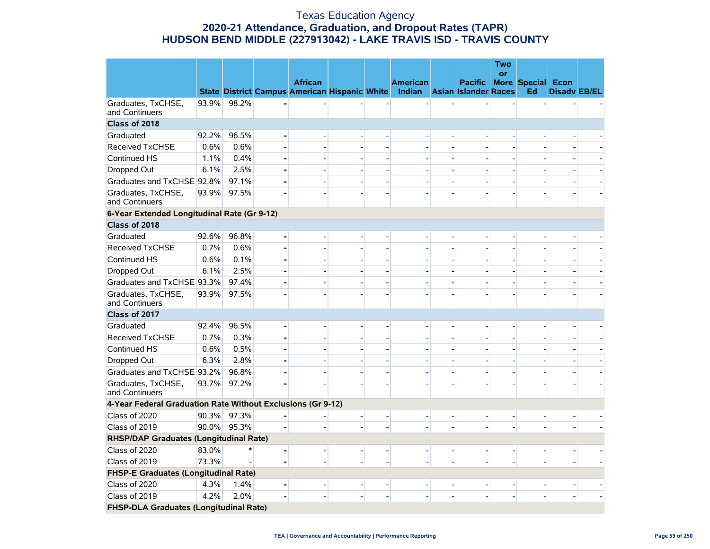### Texas Education Agency **2020-21 Attendance, Graduation, and Dropout Rates (TAPR) HUDSON BEND MIDDLE (227913042) - LAKE TRAVIS ISD - TRAVIS COUNTY**

|                                                             |       |             |                                               |                          |                |                                    |                | <b>Two</b><br><b>or</b> |                          |                          |  |
|-------------------------------------------------------------|-------|-------------|-----------------------------------------------|--------------------------|----------------|------------------------------------|----------------|-------------------------|--------------------------|--------------------------|--|
|                                                             |       |             | <b>African</b>                                |                          |                | <b>American</b>                    | <b>Pacific</b> |                         | <b>More Special Econ</b> |                          |  |
|                                                             |       |             | State District Campus American Hispanic White |                          |                | <b>Indian</b> Asian Islander Races |                |                         | Ed                       | <b>Disadv EB/EL</b>      |  |
| Graduates, TxCHSE,<br>and Continuers                        | 93.9% | 98.2%       |                                               |                          |                |                                    |                |                         |                          |                          |  |
| Class of 2018                                               |       |             |                                               |                          |                |                                    |                |                         |                          |                          |  |
| Graduated                                                   | 92.2% | 96.5%       |                                               |                          |                |                                    |                |                         |                          |                          |  |
| <b>Received TxCHSE</b>                                      | 0.6%  | 0.6%        |                                               |                          |                |                                    |                |                         |                          |                          |  |
| Continued HS                                                | 1.1%  | 0.4%        |                                               | $\overline{a}$           |                |                                    |                |                         | $\overline{a}$           |                          |  |
| Dropped Out                                                 | 6.1%  | 2.5%        |                                               | $\overline{a}$           |                |                                    |                |                         | $\overline{\phantom{a}}$ |                          |  |
| Graduates and TxCHSE 92.8%                                  |       | 97.1%       |                                               |                          |                |                                    |                |                         |                          |                          |  |
| Graduates, TxCHSE,<br>and Continuers                        | 93.9% | 97.5%       |                                               |                          |                |                                    |                |                         |                          |                          |  |
| 6-Year Extended Longitudinal Rate (Gr 9-12)                 |       |             |                                               |                          |                |                                    |                |                         |                          |                          |  |
| Class of 2018                                               |       |             |                                               |                          |                |                                    |                |                         |                          |                          |  |
| Graduated                                                   | 92.6% | 96.8%       |                                               |                          |                |                                    |                |                         |                          |                          |  |
| Received TxCHSE                                             | 0.7%  | 0.6%        |                                               |                          |                |                                    |                |                         |                          |                          |  |
| Continued HS                                                | 0.6%  | 0.1%        |                                               |                          |                |                                    |                |                         |                          |                          |  |
| Dropped Out                                                 | 6.1%  | 2.5%        |                                               |                          |                |                                    |                |                         |                          |                          |  |
| Graduates and TxCHSE 93.3%                                  |       | 97.4%       |                                               |                          |                |                                    |                |                         |                          |                          |  |
| Graduates, TxCHSE,<br>and Continuers                        | 93.9% | 97.5%       |                                               |                          |                |                                    |                |                         |                          |                          |  |
| Class of 2017                                               |       |             |                                               |                          |                |                                    |                |                         |                          |                          |  |
| Graduated                                                   | 92.4% | 96.5%       |                                               | $\overline{a}$           |                |                                    |                |                         |                          |                          |  |
| <b>Received TxCHSE</b>                                      | 0.7%  | 0.3%        |                                               |                          |                |                                    |                |                         |                          |                          |  |
| Continued HS                                                | 0.6%  | 0.5%        |                                               | $\overline{\phantom{a}}$ |                |                                    |                |                         | $\blacksquare$           |                          |  |
| Dropped Out                                                 | 6.3%  | 2.8%        |                                               |                          |                |                                    |                |                         | $\overline{\phantom{a}}$ |                          |  |
| Graduates and TxCHSE 93.2%                                  |       | 96.8%       |                                               |                          |                |                                    |                |                         |                          |                          |  |
| Graduates, TxCHSE,<br>and Continuers                        | 93.7% | 97.2%       |                                               |                          |                |                                    |                |                         |                          |                          |  |
| 4-Year Federal Graduation Rate Without Exclusions (Gr 9-12) |       |             |                                               |                          |                |                                    |                |                         |                          |                          |  |
| Class of 2020                                               |       | 90.3% 97.3% |                                               | $\blacksquare$           |                | $\overline{\phantom{0}}$           |                | $\blacksquare$          | $\overline{\phantom{0}}$ |                          |  |
| Class of 2019                                               |       | 90.0% 95.3% |                                               |                          |                |                                    |                |                         |                          |                          |  |
| RHSP/DAP Graduates (Longitudinal Rate)                      |       |             |                                               |                          |                |                                    |                |                         |                          |                          |  |
| Class of 2020                                               | 83.0% |             |                                               | $\overline{a}$           |                |                                    |                |                         | $\overline{\phantom{a}}$ |                          |  |
| Class of 2019                                               | 73.3% |             |                                               | $\overline{\phantom{0}}$ | $\overline{a}$ | $\overline{a}$                     |                |                         | $\blacksquare$           | $\overline{\phantom{a}}$ |  |
| <b>FHSP-E Graduates (Longitudinal Rate)</b>                 |       |             |                                               |                          |                |                                    |                |                         |                          |                          |  |
| Class of 2020                                               | 4.3%  | 1.4%        |                                               |                          |                |                                    |                |                         |                          |                          |  |
| Class of 2019                                               | 4.2%  | 2.0%        |                                               |                          |                |                                    |                |                         |                          |                          |  |
| FHSP-DLA Graduates (Longitudinal Rate)                      |       |             |                                               |                          |                |                                    |                |                         |                          |                          |  |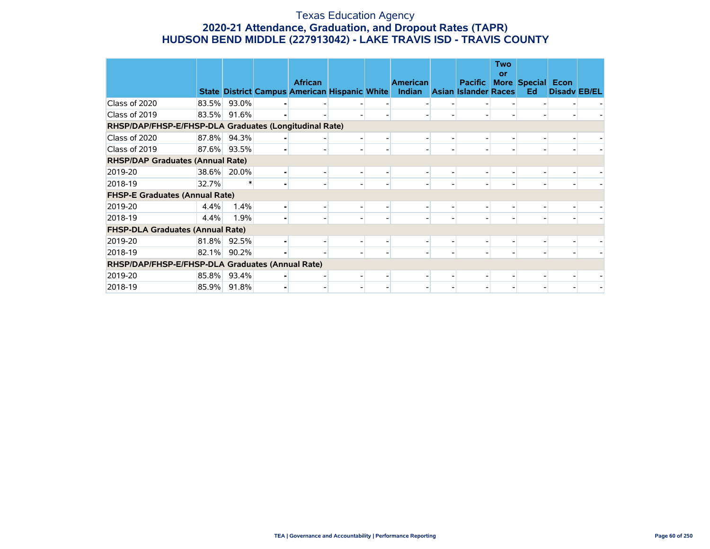## Texas Education Agency **2020-21 Attendance, Graduation, and Dropout Rates (TAPR) HUDSON BEND MIDDLE (227913042) - LAKE TRAVIS ISD - TRAVIS COUNTY**

|                                                        |       |       | <b>African</b>                                       |                          | <b>American</b> | <b>Pacific</b>       | <b>Two</b><br>or | <b>More Special Econ</b> |                     |  |
|--------------------------------------------------------|-------|-------|------------------------------------------------------|--------------------------|-----------------|----------------------|------------------|--------------------------|---------------------|--|
|                                                        |       |       | <b>State District Campus American Hispanic White</b> |                          | Indian          | Asian Islander Races |                  | Ed                       | <b>Disady EB/EL</b> |  |
| Class of 2020                                          | 83.5% | 93.0% |                                                      |                          |                 |                      |                  |                          |                     |  |
| Class of 2019                                          | 83.5% | 91.6% |                                                      |                          |                 |                      |                  |                          |                     |  |
| RHSP/DAP/FHSP-E/FHSP-DLA Graduates (Longitudinal Rate) |       |       |                                                      |                          |                 |                      |                  |                          |                     |  |
| Class of 2020                                          | 87.8% | 94.3% |                                                      |                          |                 |                      |                  |                          |                     |  |
| Class of 2019                                          | 87.6% | 93.5% |                                                      | $\overline{\phantom{a}}$ |                 |                      |                  |                          |                     |  |
| <b>RHSP/DAP Graduates (Annual Rate)</b>                |       |       |                                                      |                          |                 |                      |                  |                          |                     |  |
| 2019-20                                                | 38.6% | 20.0% |                                                      |                          |                 |                      |                  |                          |                     |  |
| 2018-19                                                | 32.7% |       |                                                      | $\overline{\phantom{a}}$ |                 |                      |                  |                          |                     |  |
| <b>FHSP-E Graduates (Annual Rate)</b>                  |       |       |                                                      |                          |                 |                      |                  |                          |                     |  |
| 2019-20                                                | 4.4%  | 1.4%  |                                                      |                          |                 |                      |                  |                          |                     |  |
| 2018-19                                                | 4.4%  | 1.9%  |                                                      |                          |                 |                      |                  |                          |                     |  |
| <b>FHSP-DLA Graduates (Annual Rate)</b>                |       |       |                                                      |                          |                 |                      |                  |                          |                     |  |
| 2019-20                                                | 81.8% | 92.5% |                                                      |                          |                 |                      |                  |                          |                     |  |
| 2018-19                                                | 82.1% | 90.2% |                                                      |                          |                 |                      |                  |                          |                     |  |
| RHSP/DAP/FHSP-E/FHSP-DLA Graduates (Annual Rate)       |       |       |                                                      |                          |                 |                      |                  |                          |                     |  |
| 2019-20                                                | 85.8% | 93.4% |                                                      |                          |                 |                      |                  |                          |                     |  |
| 2018-19                                                | 85.9% | 91.8% |                                                      |                          |                 |                      |                  |                          |                     |  |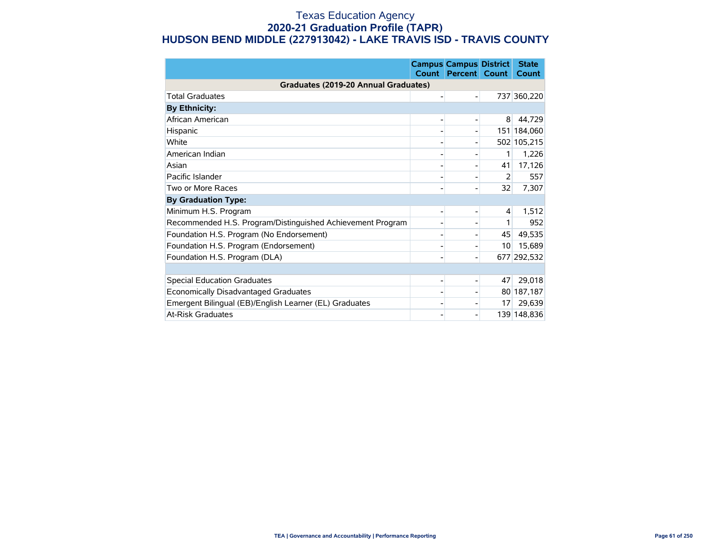## Texas Education Agency **2020-21 Graduation Profile (TAPR) HUDSON BEND MIDDLE (227913042) - LAKE TRAVIS ISD - TRAVIS COUNTY**

|                                                            | <b>Count</b> | <b>Campus Campus District</b><br><b>Percent</b> | Count          | <b>State</b><br><b>Count</b> |
|------------------------------------------------------------|--------------|-------------------------------------------------|----------------|------------------------------|
| Graduates (2019-20 Annual Graduates)                       |              |                                                 |                |                              |
| <b>Total Graduates</b>                                     |              |                                                 |                | 737 360,220                  |
| <b>By Ethnicity:</b>                                       |              |                                                 |                |                              |
| African American                                           |              |                                                 | 8              | 44,729                       |
| Hispanic                                                   |              |                                                 | 151            | 184,060                      |
| White                                                      |              |                                                 |                | 502 105,215                  |
| American Indian                                            |              |                                                 | 1              | 1,226                        |
| Asian                                                      |              |                                                 | 41             | 17,126                       |
| Pacific Islander                                           |              |                                                 | $\overline{2}$ | 557                          |
| Two or More Races                                          |              |                                                 | 32             | 7,307                        |
| <b>By Graduation Type:</b>                                 |              |                                                 |                |                              |
| Minimum H.S. Program                                       |              |                                                 | 4              | 1,512                        |
| Recommended H.S. Program/Distinguished Achievement Program |              |                                                 |                | 952                          |
| Foundation H.S. Program (No Endorsement)                   |              |                                                 | 45             | 49,535                       |
| Foundation H.S. Program (Endorsement)                      |              |                                                 | 10             | 15,689                       |
| Foundation H.S. Program (DLA)                              |              |                                                 |                | 677 292,532                  |
|                                                            |              |                                                 |                |                              |
| <b>Special Education Graduates</b>                         |              |                                                 | 47             | 29,018                       |
| Economically Disadvantaged Graduates                       |              |                                                 | 80             | 187,187                      |
| Emergent Bilingual (EB)/English Learner (EL) Graduates     |              |                                                 | 17             | 29,639                       |
| At-Risk Graduates                                          |              |                                                 |                | 139 148,836                  |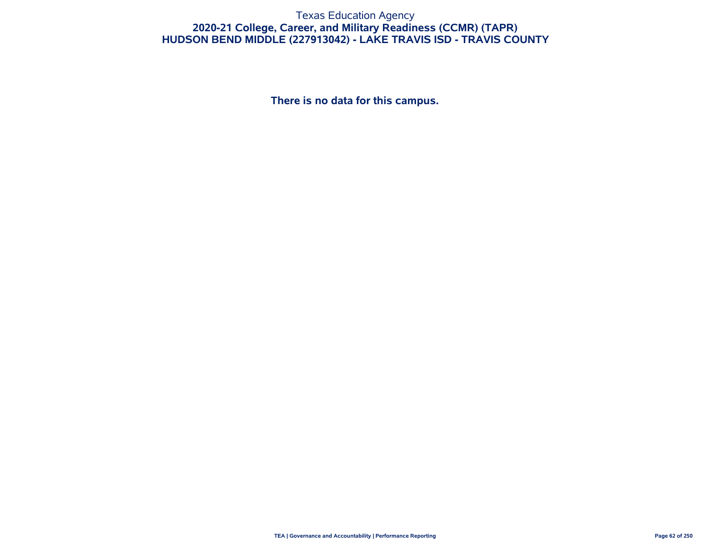### Texas Education Agency **2020-21 College, Career, and Military Readiness (CCMR) (TAPR) HUDSON BEND MIDDLE (227913042) - LAKE TRAVIS ISD - TRAVIS COUNTY**

**There is no data for this campus.**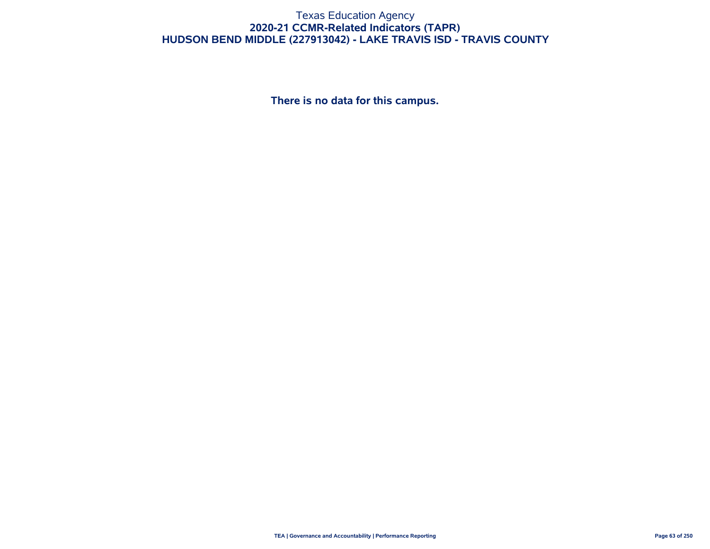### Texas Education Agency **2020-21 CCMR-Related Indicators (TAPR) HUDSON BEND MIDDLE (227913042) - LAKE TRAVIS ISD - TRAVIS COUNTY**

**There is no data for this campus.**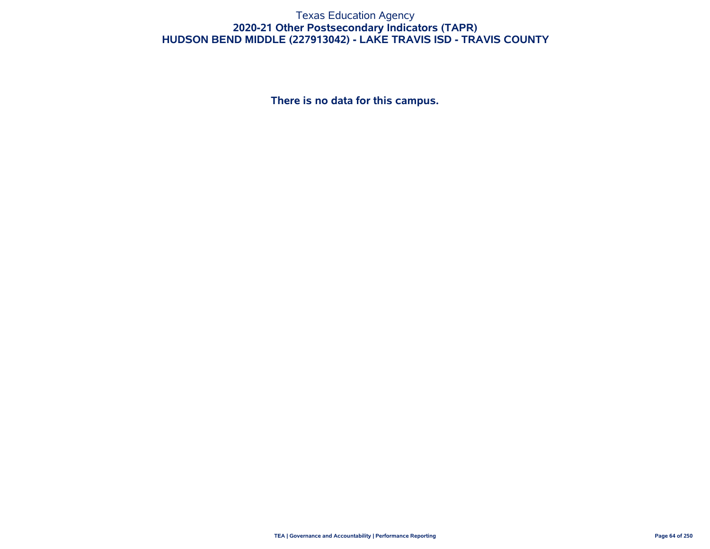### Texas Education Agency **2020-21 Other Postsecondary Indicators (TAPR) HUDSON BEND MIDDLE (227913042) - LAKE TRAVIS ISD - TRAVIS COUNTY**

**There is no data for this campus.**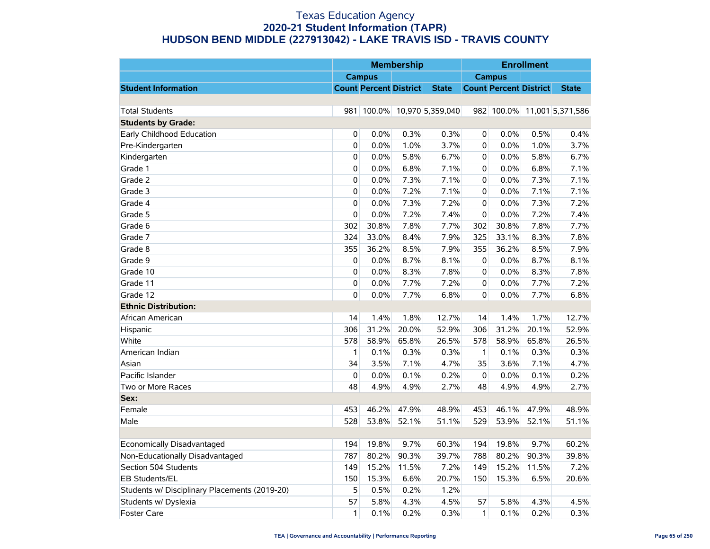|                                               |              | <b>Membership</b>             |       |                         | <b>Enrollment</b> |                               |       |                             |
|-----------------------------------------------|--------------|-------------------------------|-------|-------------------------|-------------------|-------------------------------|-------|-----------------------------|
|                                               |              | <b>Campus</b>                 |       |                         | <b>Campus</b>     |                               |       |                             |
| <b>Student Information</b>                    |              | <b>Count Percent District</b> |       | <b>State</b>            |                   | <b>Count Percent District</b> |       | <b>State</b>                |
|                                               |              |                               |       |                         |                   |                               |       |                             |
| <b>Total Students</b>                         | 981          |                               |       | 100.0% 10,970 5,359,040 |                   |                               |       | 982 100.0% 11,001 5,371,586 |
| <b>Students by Grade:</b>                     |              |                               |       |                         |                   |                               |       |                             |
| Early Childhood Education                     | 0            | 0.0%                          | 0.3%  | 0.3%                    | 0                 | $0.0\%$                       | 0.5%  | 0.4%                        |
| Pre-Kindergarten                              | 0            | 0.0%                          | 1.0%  | 3.7%                    | 0                 | 0.0%                          | 1.0%  | 3.7%                        |
| Kindergarten                                  | 0            | 0.0%                          | 5.8%  | 6.7%                    | $\mathbf 0$       | 0.0%                          | 5.8%  | 6.7%                        |
| Grade 1                                       | 0            | 0.0%                          | 6.8%  | 7.1%                    | 0                 | 0.0%                          | 6.8%  | 7.1%                        |
| Grade 2                                       | 0            | 0.0%                          | 7.3%  | 7.1%                    | $\mathbf 0$       | 0.0%                          | 7.3%  | 7.1%                        |
| Grade 3                                       | $\mathbf 0$  | 0.0%                          | 7.2%  | 7.1%                    | 0                 | 0.0%                          | 7.1%  | 7.1%                        |
| Grade 4                                       | 0            | 0.0%                          | 7.3%  | 7.2%                    | 0                 | 0.0%                          | 7.3%  | 7.2%                        |
| Grade 5                                       | 0            | 0.0%                          | 7.2%  | 7.4%                    | 0                 | 0.0%                          | 7.2%  | 7.4%                        |
| Grade 6                                       | 302          | 30.8%                         | 7.8%  | 7.7%                    | 302               | 30.8%                         | 7.8%  | 7.7%                        |
| Grade 7                                       | 324          | 33.0%                         | 8.4%  | 7.9%                    | 325               | 33.1%                         | 8.3%  | 7.8%                        |
| Grade 8                                       | 355          | 36.2%                         | 8.5%  | 7.9%                    | 355               | 36.2%                         | 8.5%  | 7.9%                        |
| Grade 9                                       | 0            | 0.0%                          | 8.7%  | 8.1%                    | $\overline{0}$    | 0.0%                          | 8.7%  | 8.1%                        |
| Grade 10                                      | $\mathbf{0}$ | 0.0%                          | 8.3%  | 7.8%                    | 0                 | 0.0%                          | 8.3%  | 7.8%                        |
| Grade 11                                      | 0            | 0.0%                          | 7.7%  | 7.2%                    | $\pmb{0}$         | 0.0%                          | 7.7%  | 7.2%                        |
| Grade 12                                      | 0            | 0.0%                          | 7.7%  | 6.8%                    | $\overline{0}$    | 0.0%                          | 7.7%  | 6.8%                        |
| <b>Ethnic Distribution:</b>                   |              |                               |       |                         |                   |                               |       |                             |
| African American                              | 14           | 1.4%                          | 1.8%  | 12.7%                   | 14                | 1.4%                          | 1.7%  | 12.7%                       |
| Hispanic                                      | 306          | 31.2%                         | 20.0% | 52.9%                   | 306               | 31.2%                         | 20.1% | 52.9%                       |
| White                                         | 578          | 58.9%                         | 65.8% | 26.5%                   | 578               | 58.9%                         | 65.8% | 26.5%                       |
| American Indian                               | 1            | 0.1%                          | 0.3%  | 0.3%                    | $\mathbf{1}$      | 0.1%                          | 0.3%  | 0.3%                        |
| Asian                                         | 34           | 3.5%                          | 7.1%  | 4.7%                    | 35                | 3.6%                          | 7.1%  | 4.7%                        |
| Pacific Islander                              | 0            | 0.0%                          | 0.1%  | 0.2%                    | $\pmb{0}$         | 0.0%                          | 0.1%  | 0.2%                        |
| Two or More Races                             | 48           | 4.9%                          | 4.9%  | 2.7%                    | 48                | 4.9%                          | 4.9%  | 2.7%                        |
| Sex:                                          |              |                               |       |                         |                   |                               |       |                             |
| Female                                        | 453          | 46.2%                         | 47.9% | 48.9%                   | 453               | 46.1%                         | 47.9% | 48.9%                       |
| Male                                          | 528          | 53.8%                         | 52.1% | 51.1%                   | 529               | 53.9%                         | 52.1% | 51.1%                       |
|                                               |              |                               |       |                         |                   |                               |       |                             |
| Economically Disadvantaged                    | 194          | 19.8%                         | 9.7%  | 60.3%                   | 194               | 19.8%                         | 9.7%  | 60.2%                       |
| Non-Educationally Disadvantaged               | 787          | 80.2%                         | 90.3% | 39.7%                   | 788               | 80.2%                         | 90.3% | 39.8%                       |
| Section 504 Students                          | 149          | 15.2%                         | 11.5% | 7.2%                    | 149               | 15.2%                         | 11.5% | 7.2%                        |
| EB Students/EL                                | 150          | 15.3%                         | 6.6%  | 20.7%                   | 150               | 15.3%                         | 6.5%  | 20.6%                       |
| Students w/ Disciplinary Placements (2019-20) | 5            | 0.5%                          | 0.2%  | 1.2%                    |                   |                               |       |                             |
| Students w/ Dyslexia                          | 57           | 5.8%                          | 4.3%  | 4.5%                    | 57                | 5.8%                          | 4.3%  | 4.5%                        |
| <b>Foster Care</b>                            | 1            | 0.1%                          | 0.2%  | 0.3%                    | $\mathbf{1}$      | 0.1%                          | 0.2%  | 0.3%                        |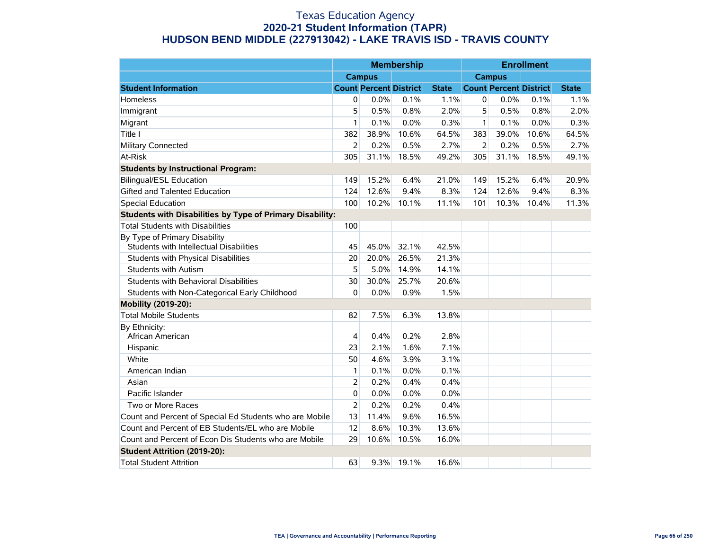|                                                                          | <b>Membership</b> |                               |       | <b>Enrollment</b> |               |                               |       |              |
|--------------------------------------------------------------------------|-------------------|-------------------------------|-------|-------------------|---------------|-------------------------------|-------|--------------|
|                                                                          | <b>Campus</b>     |                               |       |                   | <b>Campus</b> |                               |       |              |
| <b>Student Information</b>                                               |                   | <b>Count Percent District</b> |       | <b>State</b>      |               | <b>Count Percent District</b> |       | <b>State</b> |
| Homeless                                                                 | 0                 | 0.0%                          | 0.1%  | 1.1%              | 0             | 0.0%                          | 0.1%  | 1.1%         |
| Immigrant                                                                | 5                 | 0.5%                          | 0.8%  | 2.0%              | 5             | 0.5%                          | 0.8%  | 2.0%         |
| Migrant                                                                  | 1                 | 0.1%                          | 0.0%  | 0.3%              | $\mathbf{1}$  | 0.1%                          | 0.0%  | 0.3%         |
| Title I                                                                  | 382               | 38.9%                         | 10.6% | 64.5%             | 383           | 39.0%                         | 10.6% | 64.5%        |
| Military Connected                                                       | 2                 | 0.2%                          | 0.5%  | 2.7%              | 2             | 0.2%                          | 0.5%  | 2.7%         |
| At-Risk                                                                  | 305               | 31.1%                         | 18.5% | 49.2%             | 305           | 31.1%                         | 18.5% | 49.1%        |
| <b>Students by Instructional Program:</b>                                |                   |                               |       |                   |               |                               |       |              |
| <b>Bilingual/ESL Education</b>                                           | 149               | 15.2%                         | 6.4%  | 21.0%             | 149           | 15.2%                         | 6.4%  | 20.9%        |
| Gifted and Talented Education                                            | 124               | 12.6%                         | 9.4%  | 8.3%              | 124           | 12.6%                         | 9.4%  | 8.3%         |
| <b>Special Education</b>                                                 | 100               | 10.2%                         | 10.1% | 11.1%             | 101           | 10.3%                         | 10.4% | 11.3%        |
| Students with Disabilities by Type of Primary Disability:                |                   |                               |       |                   |               |                               |       |              |
| <b>Total Students with Disabilities</b>                                  | 100               |                               |       |                   |               |                               |       |              |
| By Type of Primary Disability<br>Students with Intellectual Disabilities | 45                | 45.0%                         | 32.1% | 42.5%             |               |                               |       |              |
| Students with Physical Disabilities                                      | 20                | 20.0%                         | 26.5% | 21.3%             |               |                               |       |              |
| <b>Students with Autism</b>                                              | 5                 | 5.0%                          | 14.9% | 14.1%             |               |                               |       |              |
| Students with Behavioral Disabilities                                    | 30                | 30.0%                         | 25.7% | 20.6%             |               |                               |       |              |
| Students with Non-Categorical Early Childhood                            | 0                 | 0.0%                          | 0.9%  | 1.5%              |               |                               |       |              |
| Mobility (2019-20):                                                      |                   |                               |       |                   |               |                               |       |              |
| <b>Total Mobile Students</b>                                             | 82                | 7.5%                          | 6.3%  | 13.8%             |               |                               |       |              |
| By Ethnicity:<br>African American                                        | 4                 | 0.4%                          | 0.2%  | 2.8%              |               |                               |       |              |
| Hispanic                                                                 | 23                | 2.1%                          | 1.6%  | 7.1%              |               |                               |       |              |
| White                                                                    | 50                | 4.6%                          | 3.9%  | 3.1%              |               |                               |       |              |
| American Indian                                                          | 1                 | 0.1%                          | 0.0%  | 0.1%              |               |                               |       |              |
| Asian                                                                    | 2                 | 0.2%                          | 0.4%  | 0.4%              |               |                               |       |              |
| Pacific Islander                                                         | 0                 | 0.0%                          | 0.0%  | 0.0%              |               |                               |       |              |
| Two or More Races                                                        | 2                 | 0.2%                          | 0.2%  | 0.4%              |               |                               |       |              |
| Count and Percent of Special Ed Students who are Mobile                  | 13                | 11.4%                         | 9.6%  | 16.5%             |               |                               |       |              |
| Count and Percent of EB Students/EL who are Mobile                       | 12                | 8.6%                          | 10.3% | 13.6%             |               |                               |       |              |
| Count and Percent of Econ Dis Students who are Mobile                    | 29                | 10.6%                         | 10.5% | 16.0%             |               |                               |       |              |
| <b>Student Attrition (2019-20):</b>                                      |                   |                               |       |                   |               |                               |       |              |
| <b>Total Student Attrition</b>                                           | 63                | 9.3%                          | 19.1% | 16.6%             |               |                               |       |              |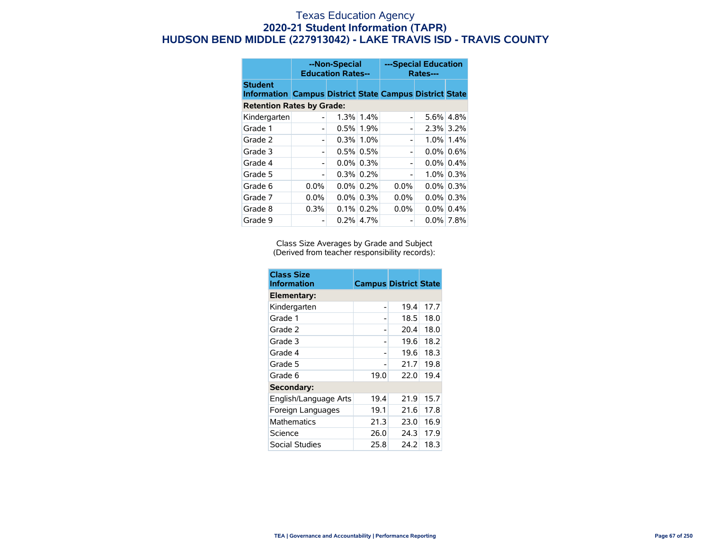|                                                                                  | --Non-Special<br><b>Education Rates--</b> |      |              | ---Special Education<br>Rates--- |  |              |  |  |  |
|----------------------------------------------------------------------------------|-------------------------------------------|------|--------------|----------------------------------|--|--------------|--|--|--|
| <b>Student</b><br><b>Information Campus District State Campus District State</b> |                                           |      |              |                                  |  |              |  |  |  |
|                                                                                  | <b>Retention Rates by Grade:</b>          |      |              |                                  |  |              |  |  |  |
| Kindergarten                                                                     |                                           |      | 1.3% 1.4%    | -                                |  | 5.6% 4.8%    |  |  |  |
| Grade 1                                                                          |                                           |      | $0.5\%$ 1.9% |                                  |  | $2.3\%$ 3.2% |  |  |  |
| Grade 2                                                                          | -                                         | 0.3% | 1.0%         | $\qquad \qquad \blacksquare$     |  | $1.0\%$ 1.4% |  |  |  |
| Grade 3                                                                          |                                           |      | $0.5\%$ 0.5% | $\overline{a}$                   |  | $0.0\%$ 0.6% |  |  |  |
| Grade 4                                                                          | -                                         |      | $0.0\%$ 0.3% | $\overline{\phantom{0}}$         |  | $0.0\%$ 0.4% |  |  |  |
| Grade 5                                                                          |                                           |      | $0.3\%$ 0.2% |                                  |  | $1.0\%$ 0.3% |  |  |  |
| Grade 6                                                                          | $0.0\%$                                   |      | $0.0\%$ 0.2% | 0.0%                             |  | $0.0\%$ 0.3% |  |  |  |
| Grade 7                                                                          | $0.0\%$                                   |      | $0.0\%$ 0.3% | $0.0\%$                          |  | $0.0\%$ 0.3% |  |  |  |
| Grade 8                                                                          | 0.3%                                      |      | $0.1\%$ 0.2% | $0.0\%$                          |  | $0.0\%$ 0.4% |  |  |  |
| Grade 9                                                                          |                                           |      | $0.2\%$ 4.7% |                                  |  | $0.0\%$ 7.8% |  |  |  |

Class Size Averages by Grade and Subject (Derived from teacher responsibility records):

| <b>Class Size</b><br><b>Information</b> | <b>Campus District State</b> |      |      |
|-----------------------------------------|------------------------------|------|------|
| Elementary:                             |                              |      |      |
| Kindergarten                            |                              | 19.4 | 17.7 |
| Grade 1                                 |                              | 18.5 | 18.0 |
| Grade 2                                 |                              | 20.4 | 18.0 |
| Grade 3                                 |                              | 19.6 | 18.2 |
| Grade 4                                 |                              | 19.6 | 18.3 |
| Grade 5                                 |                              | 21.7 | 19.8 |
| Grade 6                                 | 19.0                         | 22.0 | 19.4 |
| Secondary:                              |                              |      |      |
| English/Language Arts                   | 19.4                         | 21.9 | 15.7 |
| Foreign Languages                       | 19.1                         | 21.6 | 17.8 |
| <b>Mathematics</b>                      | 21.3                         | 23.0 | 16.9 |
| Science                                 | 26.0                         | 24.3 | 17.9 |
| Social Studies                          | 25.8                         | 24.2 | 18.3 |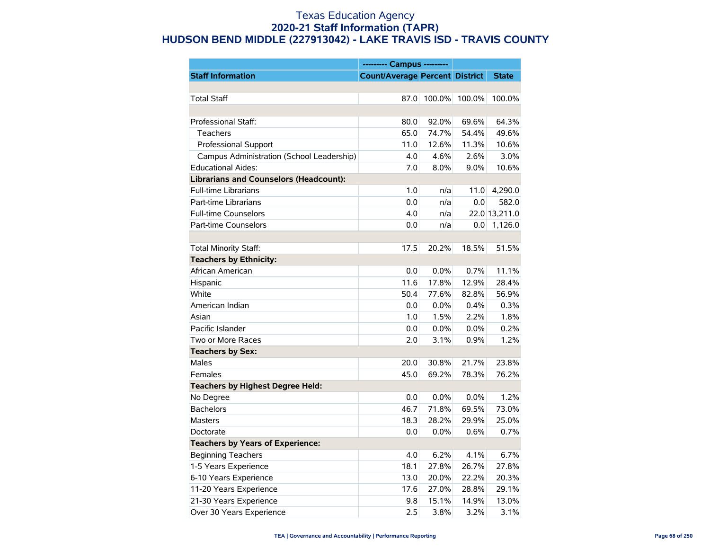|                                               | --------- Campus ---------            |        |        |               |
|-----------------------------------------------|---------------------------------------|--------|--------|---------------|
| <b>Staff Information</b>                      | <b>Count/Average Percent District</b> |        |        | <b>State</b>  |
|                                               |                                       |        |        |               |
| Total Staff                                   | 87.0                                  | 100.0% | 100.0% | 100.0%        |
|                                               |                                       |        |        |               |
| Professional Staff:                           | 80.0                                  | 92.0%  | 69.6%  | 64.3%         |
| <b>Teachers</b>                               | 65.0                                  | 74.7%  | 54.4%  | 49.6%         |
| Professional Support                          | 11.0                                  | 12.6%  | 11.3%  | 10.6%         |
| Campus Administration (School Leadership)     | 4.0                                   | 4.6%   | 2.6%   | 3.0%          |
| <b>Educational Aides:</b>                     | 7.0                                   | 8.0%   | 9.0%   | 10.6%         |
| <b>Librarians and Counselors (Headcount):</b> |                                       |        |        |               |
| <b>Full-time Librarians</b>                   | 1.0                                   | n/a    | 11.0   | 4,290.0       |
| Part-time Librarians                          | 0.0                                   | n/a    | 0.0    | 582.0         |
| <b>Full-time Counselors</b>                   | 4.0                                   | n/a    |        | 22.0 13,211.0 |
| Part-time Counselors                          | 0.0                                   | n/a    | 0.0    | 1,126.0       |
|                                               |                                       |        |        |               |
| <b>Total Minority Staff:</b>                  | 17.5                                  | 20.2%  | 18.5%  | 51.5%         |
| <b>Teachers by Ethnicity:</b>                 |                                       |        |        |               |
| African American                              | 0.0                                   | 0.0%   | 0.7%   | 11.1%         |
| Hispanic                                      | 11.6                                  | 17.8%  | 12.9%  | 28.4%         |
| White                                         | 50.4                                  | 77.6%  | 82.8%  | 56.9%         |
| American Indian                               | 0.0                                   | 0.0%   | 0.4%   | 0.3%          |
| Asian                                         | 1.0                                   | 1.5%   | 2.2%   | 1.8%          |
| Pacific Islander                              | 0.0                                   | 0.0%   | 0.0%   | 0.2%          |
| Two or More Races                             | 2.0                                   | 3.1%   | 0.9%   | 1.2%          |
| <b>Teachers by Sex:</b>                       |                                       |        |        |               |
| <b>Males</b>                                  | 20.0                                  | 30.8%  | 21.7%  | 23.8%         |
| Females                                       | 45.0                                  | 69.2%  | 78.3%  | 76.2%         |
| <b>Teachers by Highest Degree Held:</b>       |                                       |        |        |               |
| No Degree                                     | 0.0                                   | 0.0%   | 0.0%   | 1.2%          |
| <b>Bachelors</b>                              | 46.7                                  | 71.8%  | 69.5%  | 73.0%         |
| <b>Masters</b>                                | 18.3                                  | 28.2%  | 29.9%  | 25.0%         |
| Doctorate                                     | 0.0                                   | 0.0%   | 0.6%   | 0.7%          |
| <b>Teachers by Years of Experience:</b>       |                                       |        |        |               |
| <b>Beginning Teachers</b>                     | 4.0                                   | 6.2%   | 4.1%   | 6.7%          |
| 1-5 Years Experience                          | 18.1                                  | 27.8%  | 26.7%  | 27.8%         |
| 6-10 Years Experience                         | 13.0                                  | 20.0%  | 22.2%  | 20.3%         |
| 11-20 Years Experience                        | 17.6                                  | 27.0%  | 28.8%  | 29.1%         |
| 21-30 Years Experience                        | 9.8                                   | 15.1%  | 14.9%  | 13.0%         |
| Over 30 Years Experience                      | 2.5                                   | 3.8%   | 3.2%   | 3.1%          |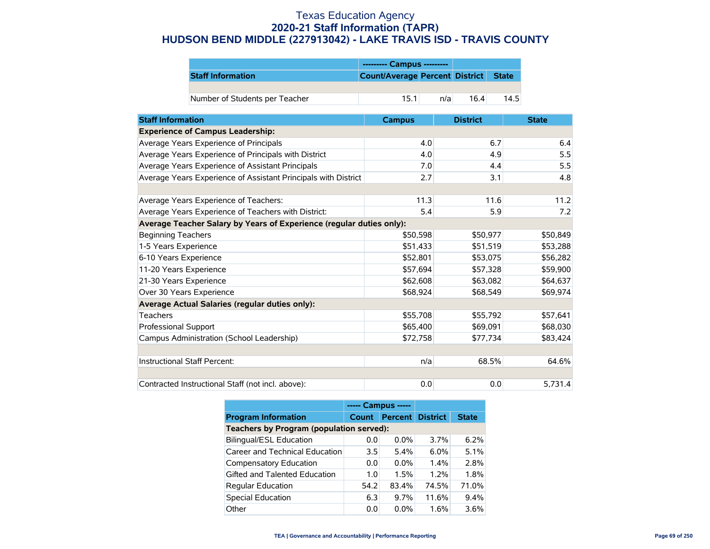|                                | --------- Campus ---------               |
|--------------------------------|------------------------------------------|
| <b>Staff Information</b>       | Count/Average Percent District State     |
|                                |                                          |
| Number of Students per Teacher | 14.5<br>16.4<br>15.1 <sub>1</sub><br>n/a |

| <b>Staff Information</b>                                             | <b>Campus</b> | <b>District</b> | <b>State</b> |
|----------------------------------------------------------------------|---------------|-----------------|--------------|
| <b>Experience of Campus Leadership:</b>                              |               |                 |              |
| Average Years Experience of Principals                               | 4.0           | 6.7             | 6.4          |
| Average Years Experience of Principals with District                 | 4.0           | 4.9             | 5.5          |
| Average Years Experience of Assistant Principals                     | 7.0           | 4.4             | 5.5          |
| Average Years Experience of Assistant Principals with District       | 2.7           | 3.1             | 4.8          |
|                                                                      |               |                 |              |
| Average Years Experience of Teachers:                                | 11.3          | 11.6            | 11.2         |
| Average Years Experience of Teachers with District:                  | 5.4           | 5.9             | 7.2          |
| Average Teacher Salary by Years of Experience (regular duties only): |               |                 |              |
| <b>Beginning Teachers</b>                                            | \$50,598      | \$50,977        | \$50,849     |
| 1-5 Years Experience                                                 | \$51,433      | \$51,519        | \$53,288     |
| 6-10 Years Experience                                                | \$52,801      | \$53,075        | \$56,282     |
| 11-20 Years Experience                                               | \$57,694      | \$57,328        | \$59,900     |
| 21-30 Years Experience                                               | \$62,608      | \$63,082        | \$64,637     |
| Over 30 Years Experience                                             | \$68,924      | \$68,549        | \$69,974     |
| Average Actual Salaries (regular duties only):                       |               |                 |              |
| <b>Teachers</b>                                                      | \$55,708      | \$55,792        | \$57,641     |
| Professional Support                                                 | \$65,400      | \$69,091        | \$68,030     |
| Campus Administration (School Leadership)                            | \$72.758      | \$77,734        | \$83,424     |
|                                                                      |               |                 |              |
| Instructional Staff Percent:                                         | n/a           | 68.5%           | 64.6%        |
|                                                                      |               |                 |              |
| Contracted Instructional Staff (not incl. above):                    | 0.0           | 0.0             | 5,731.4      |

|                                          | ----- Campus ----- |                         |         |              |  |  |
|------------------------------------------|--------------------|-------------------------|---------|--------------|--|--|
| <b>Program Information</b>               | Count              | <b>Percent District</b> |         | <b>State</b> |  |  |
| Teachers by Program (population served): |                    |                         |         |              |  |  |
| <b>Bilingual/ESL Education</b>           | 0.0                | $0.0\%$                 | $3.7\%$ | 6.2%         |  |  |
| Career and Technical Education           | 3.5                | 5.4%                    | $6.0\%$ | 5.1%         |  |  |
| <b>Compensatory Education</b>            | 0.0                | $0.0\%$                 | 1.4%    | 2.8%         |  |  |
| Gifted and Talented Education            | 1.0                | 1.5%                    | 1.2%    | 1.8%         |  |  |
| <b>Regular Education</b>                 | 54.2               | 83.4%                   | 74.5%   | 71.0%        |  |  |
| <b>Special Education</b>                 | 6.3                | 9.7%                    | 11.6%   | 9.4%         |  |  |
| Other                                    | 0.0                | $0.0\%$                 | 1.6%    | 3.6%         |  |  |